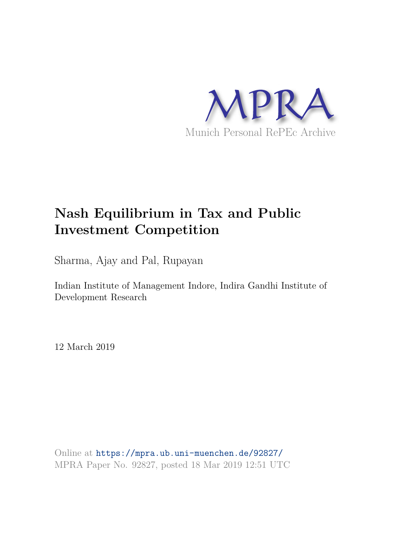

# **Nash Equilibrium in Tax and Public Investment Competition**

Sharma, Ajay and Pal, Rupayan

Indian Institute of Management Indore, Indira Gandhi Institute of Development Research

12 March 2019

Online at https://mpra.ub.uni-muenchen.de/92827/ MPRA Paper No. 92827, posted 18 Mar 2019 12:51 UTC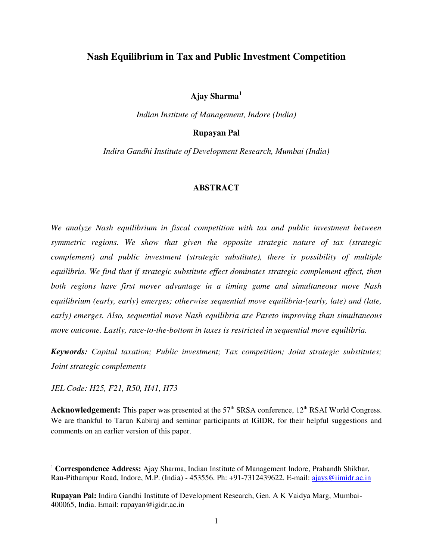## **Nash Equilibrium in Tax and Public Investment Competition**

**Ajay Sharma<sup>1</sup>**

*Indian Institute of Management, Indore (India)* 

## **Rupayan Pal**

*Indira Gandhi Institute of Development Research, Mumbai (India)* 

#### **ABSTRACT**

*We analyze Nash equilibrium in fiscal competition with tax and public investment between symmetric regions. We show that given the opposite strategic nature of tax (strategic complement) and public investment (strategic substitute), there is possibility of multiple equilibria. We find that if strategic substitute effect dominates strategic complement effect, then both regions have first mover advantage in a timing game and simultaneous move Nash equilibrium (early, early) emerges; otherwise sequential move equilibria-(early, late) and (late, early) emerges. Also, sequential move Nash equilibria are Pareto improving than simultaneous move outcome. Lastly, race-to-the-bottom in taxes is restricted in sequential move equilibria.* 

*Keywords: Capital taxation; Public investment; Tax competition; Joint strategic substitutes; Joint strategic complements* 

*JEL Code: H25, F21, R50, H41, H73* 

 $\overline{a}$ 

**Acknowledgement:** This paper was presented at the 57<sup>th</sup> SRSA conference, 12<sup>th</sup> RSAI World Congress. We are thankful to Tarun Kabiraj and seminar participants at IGIDR, for their helpful suggestions and comments on an earlier version of this paper.

<sup>1</sup> **Correspondence Address:** Ajay Sharma, Indian Institute of Management Indore, Prabandh Shikhar, Rau-Pithampur Road, Indore, M.P. (India) - 453556. Ph: +91-7312439622. E-mail: [ajays@iimidr.ac.in](mailto:ajays@iimidr.ac.in)

**Rupayan Pal:** Indira Gandhi Institute of Development Research, Gen. A K Vaidya Marg, Mumbai-400065, India. Email: rupayan@igidr.ac.in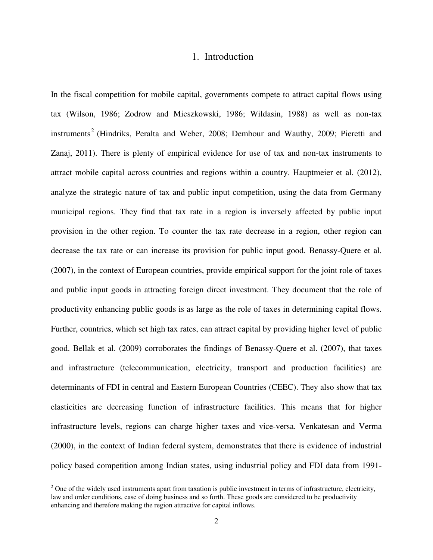## 1. Introduction

In the fiscal competition for mobile capital, governments compete to attract capital flows using tax (Wilson, 1986; Zodrow and Mieszkowski, 1986; Wildasin, 1988) as well as non-tax instruments<sup>2</sup> (Hindriks, Peralta and Weber, 2008; Dembour and Wauthy, 2009; Pieretti and Zanaj, 2011). There is plenty of empirical evidence for use of tax and non-tax instruments to attract mobile capital across countries and regions within a country. Hauptmeier et al. (2012), analyze the strategic nature of tax and public input competition, using the data from Germany municipal regions. They find that tax rate in a region is inversely affected by public input provision in the other region. To counter the tax rate decrease in a region, other region can decrease the tax rate or can increase its provision for public input good. Benassy-Quere et al. (2007), in the context of European countries, provide empirical support for the joint role of taxes and public input goods in attracting foreign direct investment. They document that the role of productivity enhancing public goods is as large as the role of taxes in determining capital flows. Further, countries, which set high tax rates, can attract capital by providing higher level of public good. Bellak et al. (2009) corroborates the findings of Benassy-Quere et al. (2007), that taxes and infrastructure (telecommunication, electricity, transport and production facilities) are determinants of FDI in central and Eastern European Countries (CEEC). They also show that tax elasticities are decreasing function of infrastructure facilities. This means that for higher infrastructure levels, regions can charge higher taxes and vice-versa. Venkatesan and Verma (2000), in the context of Indian federal system, demonstrates that there is evidence of industrial policy based competition among Indian states, using industrial policy and FDI data from 1991-

 $\overline{a}$ 

 $2^2$  One of the widely used instruments apart from taxation is public investment in terms of infrastructure, electricity, law and order conditions, ease of doing business and so forth. These goods are considered to be productivity enhancing and therefore making the region attractive for capital inflows.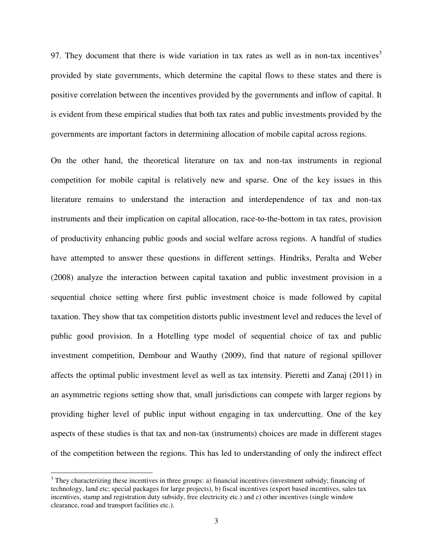97. They document that there is wide variation in tax rates as well as in non-tax incentives<sup>3</sup> provided by state governments, which determine the capital flows to these states and there is positive correlation between the incentives provided by the governments and inflow of capital. It is evident from these empirical studies that both tax rates and public investments provided by the governments are important factors in determining allocation of mobile capital across regions.

On the other hand, the theoretical literature on tax and non-tax instruments in regional competition for mobile capital is relatively new and sparse. One of the key issues in this literature remains to understand the interaction and interdependence of tax and non-tax instruments and their implication on capital allocation, race-to-the-bottom in tax rates, provision of productivity enhancing public goods and social welfare across regions. A handful of studies have attempted to answer these questions in different settings. Hindriks, Peralta and Weber (2008) analyze the interaction between capital taxation and public investment provision in a sequential choice setting where first public investment choice is made followed by capital taxation. They show that tax competition distorts public investment level and reduces the level of public good provision. In a Hotelling type model of sequential choice of tax and public investment competition, Dembour and Wauthy (2009), find that nature of regional spillover affects the optimal public investment level as well as tax intensity. Pieretti and Zanaj (2011) in an asymmetric regions setting show that, small jurisdictions can compete with larger regions by providing higher level of public input without engaging in tax undercutting. One of the key aspects of these studies is that tax and non-tax (instruments) choices are made in different stages of the competition between the regions. This has led to understanding of only the indirect effect

 $\ddot{\phantom{a}}$ 

 $3$  They characterizing these incentives in three groups: a) financial incentives (investment subsidy; financing of technology, land etc; special packages for large projects), b) fiscal incentives (export based incentives, sales tax incentives, stamp and registration duty subsidy, free electricity etc.) and c) other incentives (single window clearance, road and transport facilities etc.).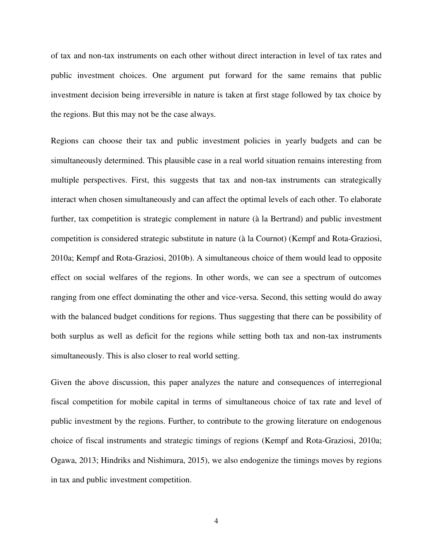of tax and non-tax instruments on each other without direct interaction in level of tax rates and public investment choices. One argument put forward for the same remains that public investment decision being irreversible in nature is taken at first stage followed by tax choice by the regions. But this may not be the case always.

Regions can choose their tax and public investment policies in yearly budgets and can be simultaneously determined. This plausible case in a real world situation remains interesting from multiple perspectives. First, this suggests that tax and non-tax instruments can strategically interact when chosen simultaneously and can affect the optimal levels of each other. To elaborate further, tax competition is strategic complement in nature (à la Bertrand) and public investment competition is considered strategic substitute in nature (à la Cournot) (Kempf and Rota-Graziosi, 2010a; Kempf and Rota-Graziosi, 2010b). A simultaneous choice of them would lead to opposite effect on social welfares of the regions. In other words, we can see a spectrum of outcomes ranging from one effect dominating the other and vice-versa. Second, this setting would do away with the balanced budget conditions for regions. Thus suggesting that there can be possibility of both surplus as well as deficit for the regions while setting both tax and non-tax instruments simultaneously. This is also closer to real world setting.

Given the above discussion, this paper analyzes the nature and consequences of interregional fiscal competition for mobile capital in terms of simultaneous choice of tax rate and level of public investment by the regions. Further, to contribute to the growing literature on endogenous choice of fiscal instruments and strategic timings of regions (Kempf and Rota-Graziosi, 2010a; Ogawa, 2013; Hindriks and Nishimura, 2015), we also endogenize the timings moves by regions in tax and public investment competition.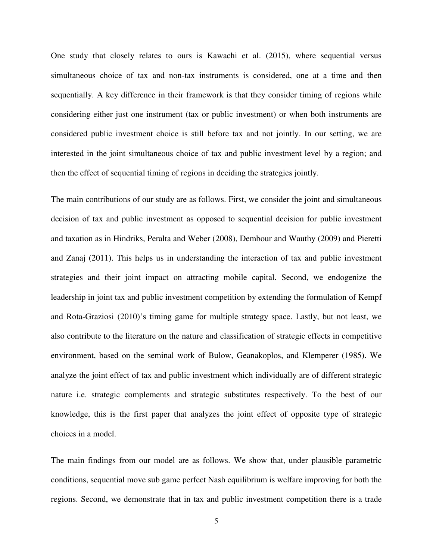One study that closely relates to ours is Kawachi et al. (2015), where sequential versus simultaneous choice of tax and non-tax instruments is considered, one at a time and then sequentially. A key difference in their framework is that they consider timing of regions while considering either just one instrument (tax or public investment) or when both instruments are considered public investment choice is still before tax and not jointly. In our setting, we are interested in the joint simultaneous choice of tax and public investment level by a region; and then the effect of sequential timing of regions in deciding the strategies jointly.

The main contributions of our study are as follows. First, we consider the joint and simultaneous decision of tax and public investment as opposed to sequential decision for public investment and taxation as in Hindriks, Peralta and Weber (2008), Dembour and Wauthy (2009) and Pieretti and Zanaj (2011). This helps us in understanding the interaction of tax and public investment strategies and their joint impact on attracting mobile capital. Second, we endogenize the leadership in joint tax and public investment competition by extending the formulation of Kempf and Rota-Graziosi (2010)'s timing game for multiple strategy space. Lastly, but not least, we also contribute to the literature on the nature and classification of strategic effects in competitive environment, based on the seminal work of Bulow, Geanakoplos, and Klemperer (1985). We analyze the joint effect of tax and public investment which individually are of different strategic nature i.e. strategic complements and strategic substitutes respectively. To the best of our knowledge, this is the first paper that analyzes the joint effect of opposite type of strategic choices in a model.

The main findings from our model are as follows. We show that, under plausible parametric conditions, sequential move sub game perfect Nash equilibrium is welfare improving for both the regions. Second, we demonstrate that in tax and public investment competition there is a trade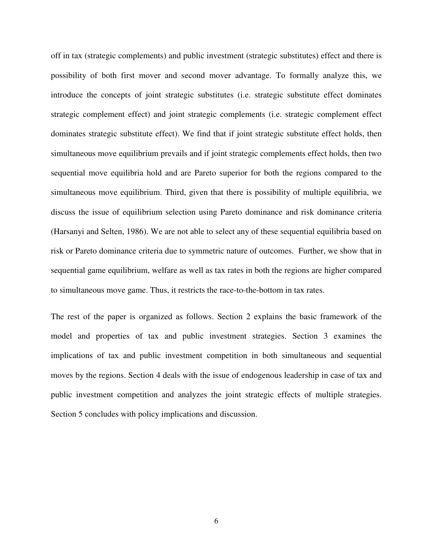off in tax (strategic complements) and public investment (strategic substitutes) effect and there is possibility of both first mover and second mover advantage. To formally analyze this, we introduce the concepts of joint strategic substitutes (i.e. strategic substitute effect dominates strategic complement effect) and joint strategic complements (i.e. strategic complement effect dominates strategic substitute effect). We find that if joint strategic substitute effect holds, then simultaneous move equilibrium prevails and if joint strategic complements effect holds, then two sequential move equilibria hold and are Pareto superior for both the regions compared to the simultaneous move equilibrium. Third, given that there is possibility of multiple equilibria, we discuss the issue of equilibrium selection using Pareto dominance and risk dominance criteria (Harsanyi and Selten, 1986). We are not able to select any of these sequential equilibria based on risk or Pareto dominance criteria due to symmetric nature of outcomes. Further, we show that in sequential game equilibrium, welfare as well as tax rates in both the regions are higher compared to simultaneous move game. Thus, it restricts the race-to-the-bottom in tax rates.

The rest of the paper is organized as follows. Section 2 explains the basic framework of the model and properties of tax and public investment strategies. Section 3 examines the implications of tax and public investment competition in both simultaneous and sequential moves by the regions. Section 4 deals with the issue of endogenous leadership in case of tax and public investment competition and analyzes the joint strategic effects of multiple strategies. Section 5 concludes with policy implications and discussion.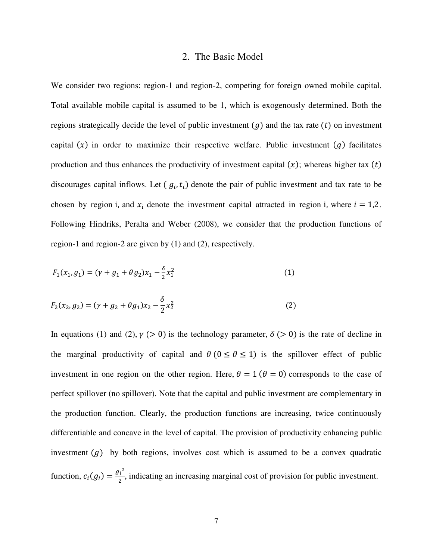### 2. The Basic Model

We consider two regions: region-1 and region-2, competing for foreign owned mobile capital. Total available mobile capital is assumed to be 1, which is exogenously determined. Both the regions strategically decide the level of public investment  $(g)$  and the tax rate  $(t)$  on investment capital  $(x)$  in order to maximize their respective welfare. Public investment  $(g)$  facilitates production and thus enhances the productivity of investment capital  $(x)$ ; whereas higher tax  $(t)$ discourages capital inflows. Let  $(g_i, t_i)$  denote the pair of public investment and tax rate to be chosen by region i, and  $x_i$  denote the investment capital attracted in region i, where  $i = 1,2$ . Following Hindriks, Peralta and Weber (2008), we consider that the production functions of region-1 and region-2 are given by (1) and (2), respectively.

$$
F_1(x_1, g_1) = (\gamma + g_1 + \theta g_2)x_1 - \frac{\delta}{2}x_1^2
$$
 (1)

$$
F_2(x_2, g_2) = (\gamma + g_2 + \theta g_1)x_2 - \frac{\delta}{2}x_2^2
$$
 (2)

In equations (1) and (2),  $\gamma$  (> 0) is the technology parameter,  $\delta$  (> 0) is the rate of decline in the marginal productivity of capital and  $\theta$  ( $0 \le \theta \le 1$ ) is the spillover effect of public investment in one region on the other region. Here,  $\theta = 1$  ( $\theta = 0$ ) corresponds to the case of perfect spillover (no spillover). Note that the capital and public investment are complementary in the production function. Clearly, the production functions are increasing, twice continuously differentiable and concave in the level of capital. The provision of productivity enhancing public investment  $(g)$  by both regions, involves cost which is assumed to be a convex quadratic function,  $c_i(g_i) = \frac{g_i^2}{2}$  $\frac{h}{2}$ , indicating an increasing marginal cost of provision for public investment.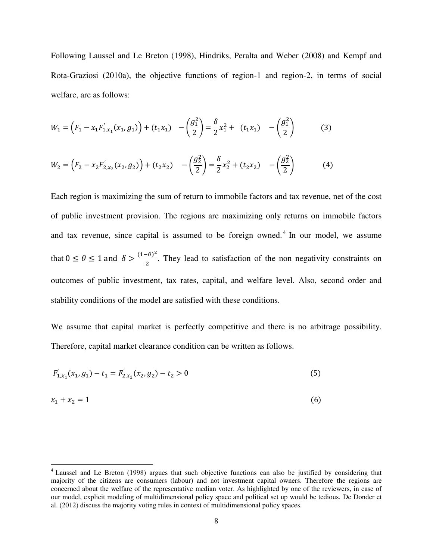Following Laussel and Le Breton (1998), Hindriks, Peralta and Weber (2008) and Kempf and Rota-Graziosi (2010a), the objective functions of region-1 and region-2, in terms of social welfare, are as follows:

$$
W_1 = \left(F_1 - x_1 F'_{1,x_1}(x_1, g_1)\right) + \left(t_1 x_1\right) \quad -\left(\frac{g_1^2}{2}\right) = \frac{\delta}{2} x_1^2 + \left(t_1 x_1\right) \quad -\left(\frac{g_1^2}{2}\right) \tag{3}
$$

$$
W_2 = \left(F_2 - x_2 F'_{2,x_2}(x_2, g_2)\right) + (t_2 x_2) \quad -\left(\frac{g_2^2}{2}\right) = \frac{\delta}{2} x_2^2 + (t_2 x_2) \quad -\left(\frac{g_2^2}{2}\right) \tag{4}
$$

Each region is maximizing the sum of return to immobile factors and tax revenue, net of the cost of public investment provision. The regions are maximizing only returns on immobile factors and tax revenue, since capital is assumed to be foreign owned.<sup>4</sup> In our model, we assume that  $0 \le \theta \le 1$  and  $\delta > \frac{(1-\theta)}{2}$ . They lead to satisfaction of the non negativity constraints on outcomes of public investment, tax rates, capital, and welfare level. Also, second order and stability conditions of the model are satisfied with these conditions.

We assume that capital market is perfectly competitive and there is no arbitrage possibility. Therefore, capital market clearance condition can be written as follows.

$$
F'_{1,x_1}(x_1, g_1) - t_1 = F'_{2,x_2}(x_2, g_2) - t_2 > 0
$$
\n<sup>(5)</sup>

$$
x_1 + x_2 = 1 \tag{6}
$$

 $\overline{a}$ 

<sup>&</sup>lt;sup>4</sup> Laussel and Le Breton (1998) argues that such objective functions can also be justified by considering that majority of the citizens are consumers (labour) and not investment capital owners. Therefore the regions are concerned about the welfare of the representative median voter. As highlighted by one of the reviewers, in case of our model, explicit modeling of multidimensional policy space and political set up would be tedious. De Donder et al. (2012) discuss the majority voting rules in context of multidimensional policy spaces.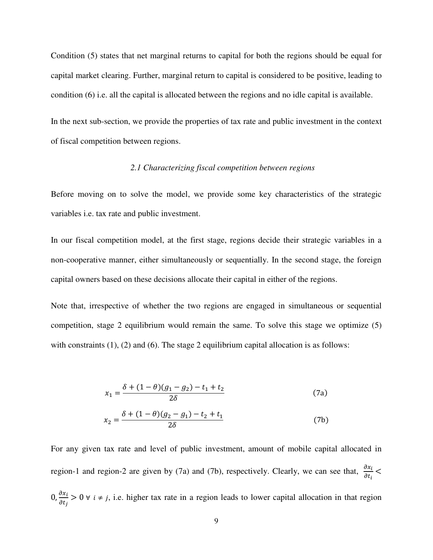Condition (5) states that net marginal returns to capital for both the regions should be equal for capital market clearing. Further, marginal return to capital is considered to be positive, leading to condition (6) i.e. all the capital is allocated between the regions and no idle capital is available.

In the next sub-section, we provide the properties of tax rate and public investment in the context of fiscal competition between regions.

## *2.1 Characterizing fiscal competition between regions*

Before moving on to solve the model, we provide some key characteristics of the strategic variables i.e. tax rate and public investment.

In our fiscal competition model, at the first stage, regions decide their strategic variables in a non-cooperative manner, either simultaneously or sequentially. In the second stage, the foreign capital owners based on these decisions allocate their capital in either of the regions.

Note that, irrespective of whether the two regions are engaged in simultaneous or sequential competition, stage 2 equilibrium would remain the same. To solve this stage we optimize (5) with constraints  $(1)$ ,  $(2)$  and  $(6)$ . The stage 2 equilibrium capital allocation is as follows:

$$
x_1 = \frac{\delta + (1 - \theta)(g_1 - g_2) - t_1 + t_2}{2\delta} \tag{7a}
$$

$$
x_2 = \frac{\delta + (1 - \theta)(g_2 - g_1) - t_2 + t_1}{2\delta} \tag{7b}
$$

For any given tax rate and level of public investment, amount of mobile capital allocated in region-1 and region-2 are given by (7a) and (7b), respectively. Clearly, we can see that,  $\frac{\partial x_l}{\partial t_i}$  <  $0, \frac{\partial x_i}{\partial t_j} > 0$   $\forall i \neq j$ , i.e. higher tax rate in a region leads to lower capital allocation in that region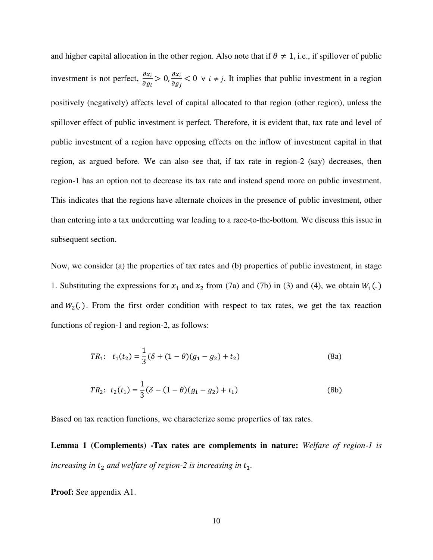and higher capital allocation in the other region. Also note that if  $\theta \neq 1$ , i.e., if spillover of public investment is not perfect,  $\frac{\partial}{\partial t}$  $\frac{\partial x_i}{\partial g_i} > 0$ ,  $\frac{\partial x_i}{\partial g_j} < 0$   $\forall i \neq j$ . It implies that public investment in a region positively (negatively) affects level of capital allocated to that region (other region), unless the spillover effect of public investment is perfect. Therefore, it is evident that, tax rate and level of public investment of a region have opposing effects on the inflow of investment capital in that region, as argued before. We can also see that, if tax rate in region-2 (say) decreases, then region-1 has an option not to decrease its tax rate and instead spend more on public investment. This indicates that the regions have alternate choices in the presence of public investment, other than entering into a tax undercutting war leading to a race-to-the-bottom. We discuss this issue in subsequent section.

Now, we consider (a) the properties of tax rates and (b) properties of public investment, in stage 1. Substituting the expressions for  $x_1$  and  $x_2$  from (7a) and (7b) in (3) and (4), we obtain  $W_1(.)$ and  $W_2(.)$ . From the first order condition with respect to tax rates, we get the tax reaction functions of region-1 and region-2, as follows:

$$
TR_1: \t t_1(t_2) = \frac{1}{3} (\delta + (1 - \theta)(g_1 - g_2) + t_2)
$$
 (8a)

$$
TR_2: t_2(t_1) = \frac{1}{3}(\delta - (1 - \theta)(g_1 - g_2) + t_1)
$$
\n(8b)

Based on tax reaction functions, we characterize some properties of tax rates.

**Lemma 1 (Complements) -Tax rates are complements in nature:** *Welfare of region-1 is increasing in*  $t_2$  *and welfare of region-2 is increasing in*  $t_1$ *.* 

**Proof:** See appendix A1.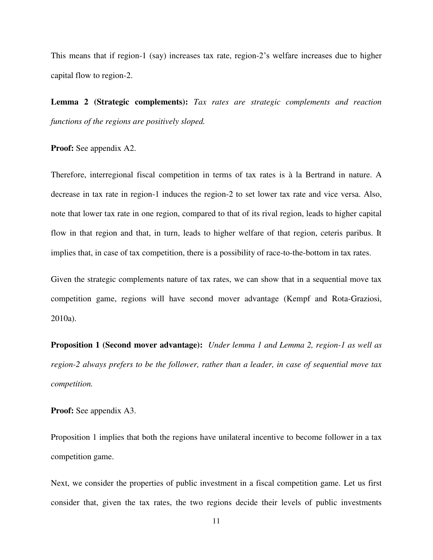This means that if region-1 (say) increases tax rate, region-2's welfare increases due to higher capital flow to region-2.

**Lemma 2 (Strategic complements):** *Tax rates are strategic complements and reaction functions of the regions are positively sloped.*

**Proof:** See appendix A2.

Therefore, interregional fiscal competition in terms of tax rates is à la Bertrand in nature. A decrease in tax rate in region-1 induces the region-2 to set lower tax rate and vice versa. Also, note that lower tax rate in one region, compared to that of its rival region, leads to higher capital flow in that region and that, in turn, leads to higher welfare of that region, ceteris paribus. It implies that, in case of tax competition, there is a possibility of race-to-the-bottom in tax rates.

Given the strategic complements nature of tax rates, we can show that in a sequential move tax competition game, regions will have second mover advantage (Kempf and Rota-Graziosi, 2010a).

**Proposition 1 (Second mover advantage):** *Under lemma 1 and Lemma 2, region-1 as well as region-2 always prefers to be the follower, rather than a leader, in case of sequential move tax competition.* 

**Proof:** See appendix A3.

Proposition 1 implies that both the regions have unilateral incentive to become follower in a tax competition game.

Next, we consider the properties of public investment in a fiscal competition game. Let us first consider that, given the tax rates, the two regions decide their levels of public investments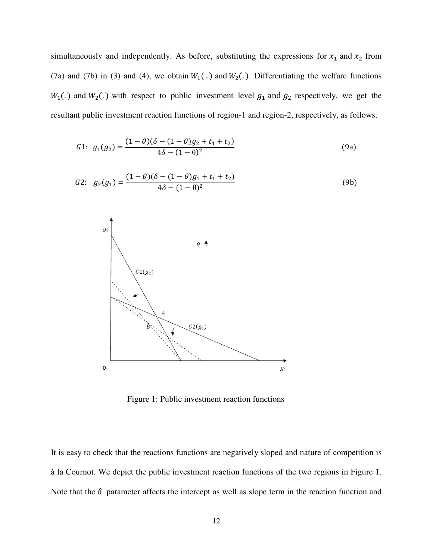simultaneously and independently. As before, substituting the expressions for  $x_1$  and  $x_2$  from (7a) and (7b) in (3) and (4), we obtain  $W_1(.)$  and  $W_2(.)$ . Differentiating the welfare functions  $W_1(.)$  and  $W_2(.)$  with respect to public investment level  $g_1$  and  $g_2$  respectively, we get the resultant public investment reaction functions of region-1 and region-2, respectively, as follows.

$$
G1: g_1(g_2) = \frac{(1-\theta)(\delta - (1-\theta)g_2 + t_1 + t_2)}{4\delta - (1-\theta)^2}
$$
\n(9a)

$$
G2: \quad g_2(g_1) = \frac{(1-\theta)(\delta - (1-\theta)g_1 + t_1 + t_2)}{4\delta - (1-\theta)^2} \tag{9b}
$$



Figure 1: Public investment reaction functions

It is easy to check that the reactions functions are negatively sloped and nature of competition is à la Cournot. We depict the public investment reaction functions of the two regions in Figure 1. Note that the  $\delta$  parameter affects the intercept as well as slope term in the reaction function and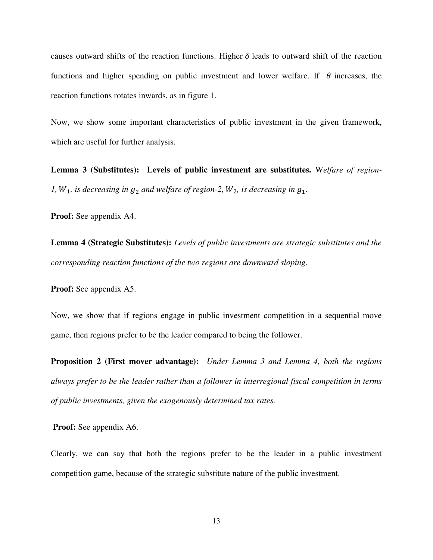causes outward shifts of the reaction functions. Higher  $\delta$  leads to outward shift of the reaction functions and higher spending on public investment and lower welfare. If  $\theta$  increases, the reaction functions rotates inwards, as in figure 1.

Now, we show some important characteristics of public investment in the given framework, which are useful for further analysis.

**Lemma 3 (Substitutes): Levels of public investment are substitutes.** W*elfare of region-1,*  $W_1$ *, is decreasing in*  $g_2$  *and welfare of region-2,*  $W_2$ *, is decreasing in*  $g_1$ *.* 

**Proof:** See appendix A4.

**Lemma 4 (Strategic Substitutes):** *Levels of public investments are strategic substitutes and the corresponding reaction functions of the two regions are downward sloping.*

**Proof:** See appendix A5.

Now, we show that if regions engage in public investment competition in a sequential move game, then regions prefer to be the leader compared to being the follower.

**Proposition 2 (First mover advantage):** *Under Lemma 3 and Lemma 4, both the regions always prefer to be the leader rather than a follower in interregional fiscal competition in terms of public investments, given the exogenously determined tax rates.* 

**Proof:** See appendix A6.

Clearly, we can say that both the regions prefer to be the leader in a public investment competition game, because of the strategic substitute nature of the public investment.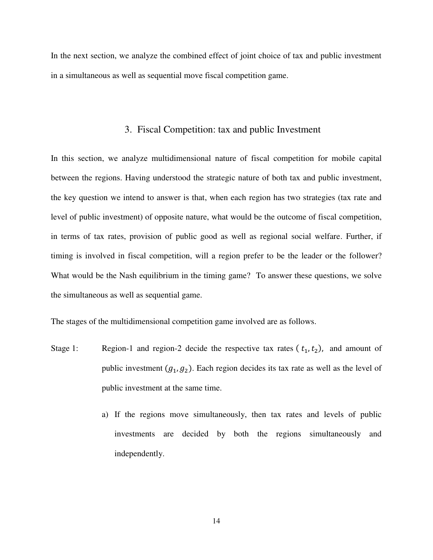In the next section, we analyze the combined effect of joint choice of tax and public investment in a simultaneous as well as sequential move fiscal competition game.

## 3. Fiscal Competition: tax and public Investment

In this section, we analyze multidimensional nature of fiscal competition for mobile capital between the regions. Having understood the strategic nature of both tax and public investment, the key question we intend to answer is that, when each region has two strategies (tax rate and level of public investment) of opposite nature, what would be the outcome of fiscal competition, in terms of tax rates, provision of public good as well as regional social welfare. Further, if timing is involved in fiscal competition, will a region prefer to be the leader or the follower? What would be the Nash equilibrium in the timing game? To answer these questions, we solve the simultaneous as well as sequential game.

The stages of the multidimensional competition game involved are as follows.

- Stage 1: Region-1 and region-2 decide the respective tax rates  $(t_1, t_2)$ , and amount of public investment  $(g_1, g_2)$ . Each region decides its tax rate as well as the level of public investment at the same time.
	- a) If the regions move simultaneously, then tax rates and levels of public investments are decided by both the regions simultaneously and independently.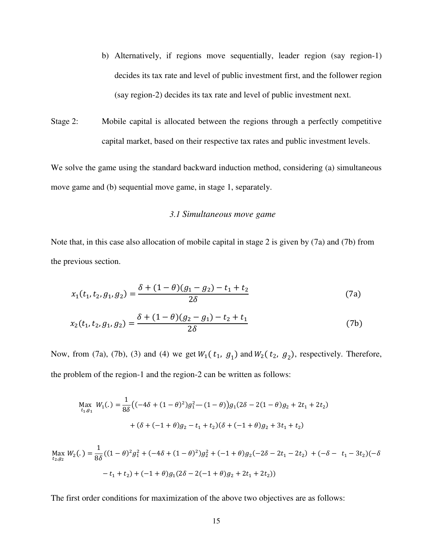- b) Alternatively, if regions move sequentially, leader region (say region-1) decides its tax rate and level of public investment first, and the follower region (say region-2) decides its tax rate and level of public investment next.
- Stage 2: Mobile capital is allocated between the regions through a perfectly competitive capital market, based on their respective tax rates and public investment levels.

We solve the game using the standard backward induction method, considering (a) simultaneous move game and (b) sequential move game, in stage 1, separately.

## *3.1 Simultaneous move game*

Note that, in this case also allocation of mobile capital in stage 2 is given by (7a) and (7b) from the previous section.

$$
x_1(t_1, t_2, g_1, g_2) = \frac{\delta + (1 - \theta)(g_1 - g_2) - t_1 + t_2}{2\delta} \tag{7a}
$$

$$
x_2(t_1, t_2, g_1, g_2) = \frac{\delta + (1 - \theta)(g_2 - g_1) - t_2 + t_1}{2\delta} \tag{7b}
$$

Now, from (7a), (7b), (3) and (4) we get  $W_1(t_1, g_1)$  and  $W_2(t_2, g_2)$ , respectively. Therefore, the problem of the region-1 and the region-2 can be written as follows:

$$
\begin{aligned} \max_{t_1, g_1} \ W_1(.) &= \frac{1}{8\delta} \big( (-4\delta + (1-\theta)^2)g_1^2 - (1-\theta) \big) g_1 (2\delta - 2(1-\theta)g_2 + 2t_1 + 2t_2) \\ &+ (\delta + (-1+\theta)g_2 - t_1 + t_2)(\delta + (-1+\theta)g_2 + 3t_1 + t_2) \end{aligned}
$$

$$
\begin{aligned} \max_{t_2, g_2} W_2(.) &= \frac{1}{8\delta} \left( (1 - \theta)^2 g_1^2 + (-4\delta + (1 - \theta)^2) g_2^2 + (-1 + \theta) g_2(-2\delta - 2t_1 - 2t_2) + (-\delta - t_1 - 3t_2)(-\delta - 2t_1 + t_2) \right) \\ &- t_1 + t_2 \right) + (-1 + \theta) g_1 (2\delta - 2(-1 + \theta) g_2 + 2t_1 + 2t_2) \end{aligned}
$$

The first order conditions for maximization of the above two objectives are as follows: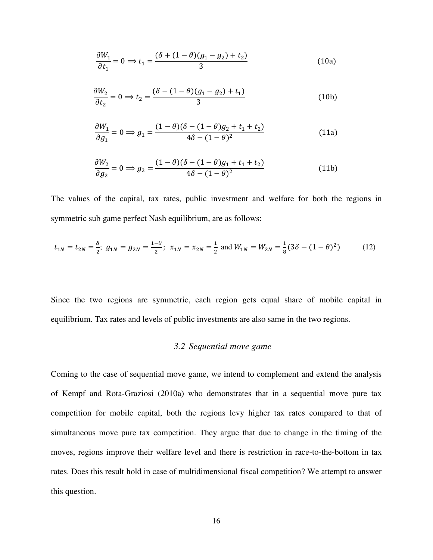$$
\frac{\partial W_1}{\partial t_1} = 0 \Rightarrow t_1 = \frac{(\delta + (1 - \theta)(g_1 - g_2) + t_2)}{3} \tag{10a}
$$

$$
\frac{\partial W_2}{\partial t_2} = 0 \Longrightarrow t_2 = \frac{(\delta - (1 - \theta)(g_1 - g_2) + t_1)}{3} \tag{10b}
$$

$$
\frac{\partial W_1}{\partial g_1} = 0 \implies g_1 = \frac{(1 - \theta)(\delta - (1 - \theta)g_2 + t_1 + t_2)}{4\delta - (1 - \theta)^2} \tag{11a}
$$

$$
\frac{\partial W_2}{\partial g_2} = 0 \implies g_2 = \frac{(1 - \theta)(\delta - (1 - \theta)g_1 + t_1 + t_2)}{4\delta - (1 - \theta)^2}
$$
(11b)

The values of the capital, tax rates, public investment and welfare for both the regions in symmetric sub game perfect Nash equilibrium, are as follows:

$$
t_{1N} = t_{2N} = \frac{\delta}{2}; \ g_{1N} = g_{2N} = \frac{1-\theta}{2}; \ x_{1N} = x_{2N} = \frac{1}{2} \text{ and } W_{1N} = W_{2N} = \frac{1}{8} (3\delta - (1-\theta)^2) \tag{12}
$$

Since the two regions are symmetric, each region gets equal share of mobile capital in equilibrium. Tax rates and levels of public investments are also same in the two regions.

## *3.2 Sequential move game*

Coming to the case of sequential move game, we intend to complement and extend the analysis of Kempf and Rota-Graziosi (2010a) who demonstrates that in a sequential move pure tax competition for mobile capital, both the regions levy higher tax rates compared to that of simultaneous move pure tax competition. They argue that due to change in the timing of the moves, regions improve their welfare level and there is restriction in race-to-the-bottom in tax rates. Does this result hold in case of multidimensional fiscal competition? We attempt to answer this question.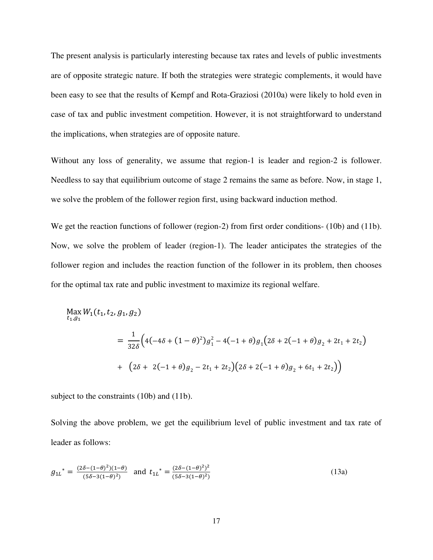The present analysis is particularly interesting because tax rates and levels of public investments are of opposite strategic nature. If both the strategies were strategic complements, it would have been easy to see that the results of Kempf and Rota-Graziosi (2010a) were likely to hold even in case of tax and public investment competition. However, it is not straightforward to understand the implications, when strategies are of opposite nature.

Without any loss of generality, we assume that region-1 is leader and region-2 is follower. Needless to say that equilibrium outcome of stage 2 remains the same as before. Now, in stage 1, we solve the problem of the follower region first, using backward induction method.

We get the reaction functions of follower (region-2) from first order conditions- (10b) and (11b). Now, we solve the problem of leader (region-1). The leader anticipates the strategies of the follower region and includes the reaction function of the follower in its problem, then chooses for the optimal tax rate and public investment to maximize its regional welfare.

$$
\begin{aligned} \max_{t_1, g_1} W_1(t_1, t_2, g_1, g_2) \\ &= \frac{1}{32\delta} \Big( 4(-4\delta + (1 - \theta)^2) g_1^2 - 4(-1 + \theta) g_1 \Big( 2\delta + 2(-1 + \theta) g_2 + 2t_1 + 2t_2 \Big) \\ &+ \Big( 2\delta + 2(-1 + \theta) g_2 - 2t_1 + 2t_2 \Big) \Big( 2\delta + 2(-1 + \theta) g_2 + 6t_1 + 2t_2 \Big) \Big) \end{aligned}
$$

subject to the constraints (10b) and (11b).

Solving the above problem, we get the equilibrium level of public investment and tax rate of leader as follows:

$$
g_{1L}^* = \frac{(2\delta - (1-\theta)^2)(1-\theta)}{(5\delta - 3(1-\theta)^2)} \text{ and } t_{1L}^* = \frac{(2\delta - (1-\theta)^2)^2}{(5\delta - 3(1-\theta)^2)}
$$
(13a)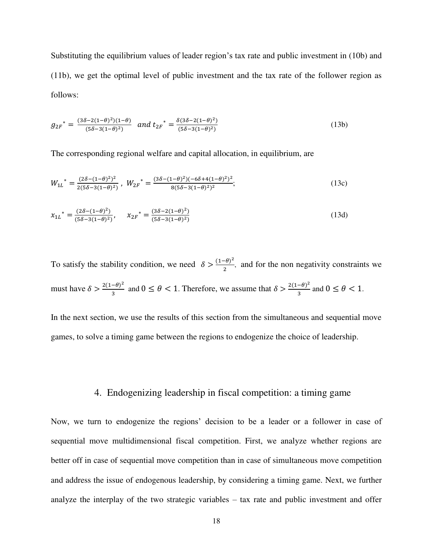Substituting the equilibrium values of leader region's tax rate and public investment in (10b) and (11b), we get the optimal level of public investment and the tax rate of the follower region as follows:

$$
g_{2F}^* = \frac{(3\delta - 2(1-\theta)^2)(1-\theta)}{(5\delta - 3(1-\theta)^2)} \quad \text{and} \quad t_{2F}^* = \frac{\delta (3\delta - 2(1-\theta)^2)}{(5\delta - 3(1-\theta)^2)} \tag{13b}
$$

The corresponding regional welfare and capital allocation, in equilibrium, are

$$
W_{1L}^* = \frac{(2\delta - (1-\theta)^2)^2}{2(5\delta - 3(1-\theta)^2)}, \ W_{2F}^* = \frac{(3\delta - (1-\theta)^2)(-6\delta + 4(1-\theta)^2)^2}{8(5\delta - 3(1-\theta)^2)^2};
$$
\n(13c)

$$
x_{1L}^* = \frac{(2\delta - (1-\theta)^2)}{(5\delta - 3(1-\theta)^2)}, \qquad x_{2F}^* = \frac{(3\delta - 2(1-\theta)^2)}{(5\delta - 3(1-\theta)^2)}
$$
(13d)

To satisfy the stability condition, we need  $\delta > \frac{(1-\theta)}{2}$ , and for the non negativity constraints we must have  $\delta > \frac{2(1-\theta)}{3}$  and  $0 \le \theta < 1$ . Therefore, we assume that  $\delta > \frac{2(1-\theta)}{3}$  and  $0 \le \theta < 1$ .

In the next section, we use the results of this section from the simultaneous and sequential move games, to solve a timing game between the regions to endogenize the choice of leadership.

## 4. Endogenizing leadership in fiscal competition: a timing game

Now, we turn to endogenize the regions' decision to be a leader or a follower in case of sequential move multidimensional fiscal competition. First, we analyze whether regions are better off in case of sequential move competition than in case of simultaneous move competition and address the issue of endogenous leadership, by considering a timing game. Next, we further analyze the interplay of the two strategic variables – tax rate and public investment and offer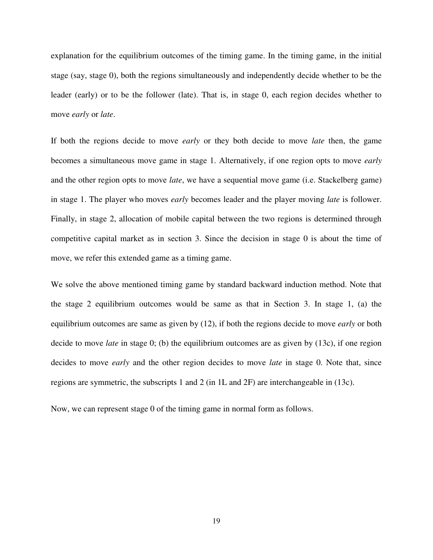explanation for the equilibrium outcomes of the timing game. In the timing game, in the initial stage (say, stage 0), both the regions simultaneously and independently decide whether to be the leader (early) or to be the follower (late). That is, in stage 0, each region decides whether to move *early* or *late*.

If both the regions decide to move *early* or they both decide to move *late* then, the game becomes a simultaneous move game in stage 1. Alternatively, if one region opts to move *early* and the other region opts to move *late*, we have a sequential move game (i.e. Stackelberg game) in stage 1. The player who moves *early* becomes leader and the player moving *late* is follower. Finally, in stage 2, allocation of mobile capital between the two regions is determined through competitive capital market as in section 3. Since the decision in stage 0 is about the time of move, we refer this extended game as a timing game.

We solve the above mentioned timing game by standard backward induction method. Note that the stage 2 equilibrium outcomes would be same as that in Section 3. In stage 1, (a) the equilibrium outcomes are same as given by (12), if both the regions decide to move *early* or both decide to move *late* in stage 0; (b) the equilibrium outcomes are as given by (13c), if one region decides to move *early* and the other region decides to move *late* in stage 0. Note that, since regions are symmetric, the subscripts 1 and 2 (in 1L and 2F) are interchangeable in (13c).

Now, we can represent stage 0 of the timing game in normal form as follows.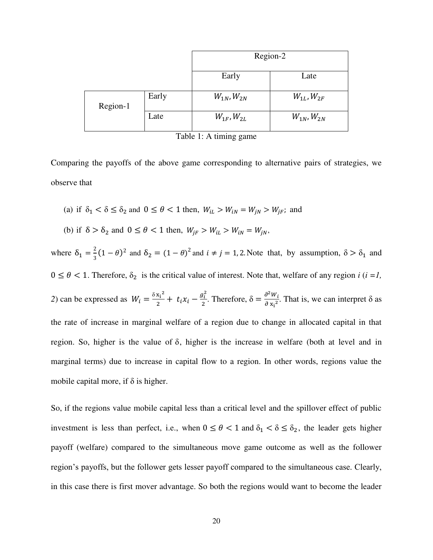|          |       | Region-2            |                     |
|----------|-------|---------------------|---------------------|
|          |       | Early               | Late                |
| Region-1 | Early | $W_{1N}$ , $W_{2N}$ | $W_{1L}$ , $W_{2F}$ |
|          | Late  | $W_{1F}$ , $W_{2L}$ | $W_{1N}$ , $W_{2N}$ |

Table 1: A timing game

Comparing the payoffs of the above game corresponding to alternative pairs of strategies, we observe that

- (a) if  $\delta_1 < \delta \leq \delta_2$  and  $0 \leq \theta < 1$  then,  $W_{iL} > W_{iN} = W_{jN} > W_{jF}$ ; and
- (b) if  $\delta > \delta_2$  and  $0 \le \theta < 1$  then,  $W_{jF} > W_{iL} > W_{iN} = W_{jN}$ ,

where  $\delta_1 = \frac{2}{3}$  $\frac{2}{3}(1-\theta)^2$  and  $\delta_2 = (1-\theta)^2$  and  $i \neq j = 1, 2$ . Note that, by assumption,  $\delta > \delta_1$  and  $0 \le \theta < 1$ . Therefore,  $\delta_2$  is the critical value of interest. Note that, welfare of any region *i* (*i* = *l*, 2) can be expressed as  $W_i = \frac{\delta x_i^2}{2}$  $rac{x_i^2}{2}$  +  $t_i x_i - \frac{g_i^2}{2}$  $\frac{\partial^2 i}{\partial z^2}$ . Therefore,  $\delta = \frac{\partial^2 i}{\partial z^2}$  $\frac{\partial w_i}{\partial x_i^2}$ . That is, we can interpret  $\delta$  as the rate of increase in marginal welfare of a region due to change in allocated capital in that region. So, higher is the value of  $\delta$ , higher is the increase in welfare (both at level and in marginal terms) due to increase in capital flow to a region. In other words, regions value the mobile capital more, if  $\delta$  is higher.

So, if the regions value mobile capital less than a critical level and the spillover effect of public investment is less than perfect, i.e., when  $0 \le \theta < 1$  and  $\delta_1 < \delta \le \delta_2$ , the leader gets higher payoff (welfare) compared to the simultaneous move game outcome as well as the follower region's payoffs, but the follower gets lesser payoff compared to the simultaneous case. Clearly, in this case there is first mover advantage. So both the regions would want to become the leader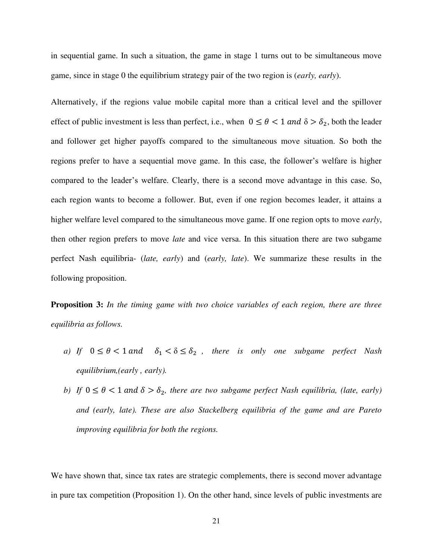in sequential game. In such a situation, the game in stage 1 turns out to be simultaneous move game, since in stage 0 the equilibrium strategy pair of the two region is (*early, early*).

Alternatively, if the regions value mobile capital more than a critical level and the spillover effect of public investment is less than perfect, i.e., when  $0 \le \theta < 1$  and  $\delta > \delta_2$ , both the leader and follower get higher payoffs compared to the simultaneous move situation. So both the regions prefer to have a sequential move game. In this case, the follower's welfare is higher compared to the leader's welfare. Clearly, there is a second move advantage in this case. So, each region wants to become a follower. But, even if one region becomes leader, it attains a higher welfare level compared to the simultaneous move game. If one region opts to move *early*, then other region prefers to move *late* and vice versa. In this situation there are two subgame perfect Nash equilibria- (*late, early*) and (*early, late*). We summarize these results in the following proposition.

**Proposition 3:** *In the timing game with two choice variables of each region, there are three equilibria as follows.* 

- *a)* If  $0 \le \theta < 1$  and  $\delta_1 < \delta \le \delta_2$ , there is only one subgame perfect Nash *equilibrium,(early , early).*
- *b)* If  $0 \le \theta < 1$  and  $\delta > \delta_2$ , there are two subgame perfect Nash equilibria, (late, early) *and (early, late). These are also Stackelberg equilibria of the game and are Pareto improving equilibria for both the regions.*

We have shown that, since tax rates are strategic complements, there is second mover advantage in pure tax competition (Proposition 1). On the other hand, since levels of public investments are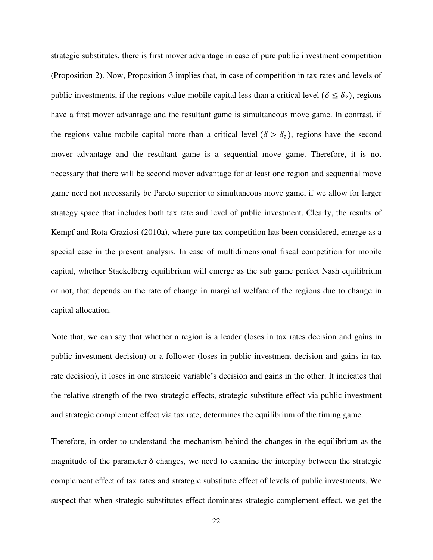strategic substitutes, there is first mover advantage in case of pure public investment competition (Proposition 2). Now, Proposition 3 implies that, in case of competition in tax rates and levels of public investments, if the regions value mobile capital less than a critical level ( $\delta \leq \delta_2$ ), regions have a first mover advantage and the resultant game is simultaneous move game. In contrast, if the regions value mobile capital more than a critical level  $(\delta > \delta_2)$ , regions have the second mover advantage and the resultant game is a sequential move game. Therefore, it is not necessary that there will be second mover advantage for at least one region and sequential move game need not necessarily be Pareto superior to simultaneous move game, if we allow for larger strategy space that includes both tax rate and level of public investment. Clearly, the results of Kempf and Rota-Graziosi (2010a), where pure tax competition has been considered, emerge as a special case in the present analysis. In case of multidimensional fiscal competition for mobile capital, whether Stackelberg equilibrium will emerge as the sub game perfect Nash equilibrium or not, that depends on the rate of change in marginal welfare of the regions due to change in capital allocation.

Note that, we can say that whether a region is a leader (loses in tax rates decision and gains in public investment decision) or a follower (loses in public investment decision and gains in tax rate decision), it loses in one strategic variable's decision and gains in the other. It indicates that the relative strength of the two strategic effects, strategic substitute effect via public investment and strategic complement effect via tax rate, determines the equilibrium of the timing game.

Therefore, in order to understand the mechanism behind the changes in the equilibrium as the magnitude of the parameter  $\delta$  changes, we need to examine the interplay between the strategic complement effect of tax rates and strategic substitute effect of levels of public investments. We suspect that when strategic substitutes effect dominates strategic complement effect, we get the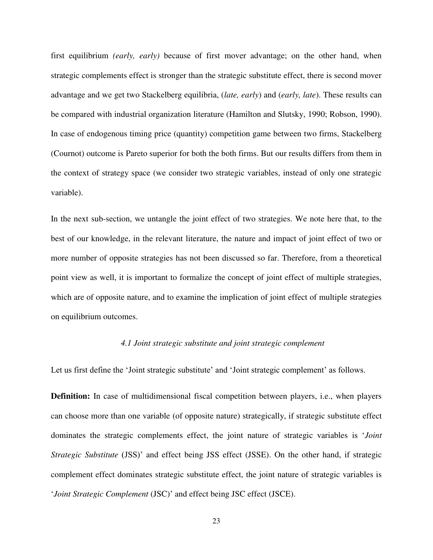first equilibrium *(early, early)* because of first mover advantage; on the other hand, when strategic complements effect is stronger than the strategic substitute effect, there is second mover advantage and we get two Stackelberg equilibria, (*late, early*) and (*early, late*). These results can be compared with industrial organization literature (Hamilton and Slutsky, 1990; Robson, 1990). In case of endogenous timing price (quantity) competition game between two firms, Stackelberg (Cournot) outcome is Pareto superior for both the both firms. But our results differs from them in the context of strategy space (we consider two strategic variables, instead of only one strategic variable).

In the next sub-section, we untangle the joint effect of two strategies. We note here that, to the best of our knowledge, in the relevant literature, the nature and impact of joint effect of two or more number of opposite strategies has not been discussed so far. Therefore, from a theoretical point view as well, it is important to formalize the concept of joint effect of multiple strategies, which are of opposite nature, and to examine the implication of joint effect of multiple strategies on equilibrium outcomes.

## *4.1 Joint strategic substitute and joint strategic complement*

Let us first define the 'Joint strategic substitute' and 'Joint strategic complement' as follows.

**Definition:** In case of multidimensional fiscal competition between players, i.e., when players can choose more than one variable (of opposite nature) strategically, if strategic substitute effect dominates the strategic complements effect, the joint nature of strategic variables is '*Joint Strategic Substitute* (JSS)' and effect being JSS effect (JSSE). On the other hand, if strategic complement effect dominates strategic substitute effect, the joint nature of strategic variables is '*Joint Strategic Complement* (JSC)' and effect being JSC effect (JSCE).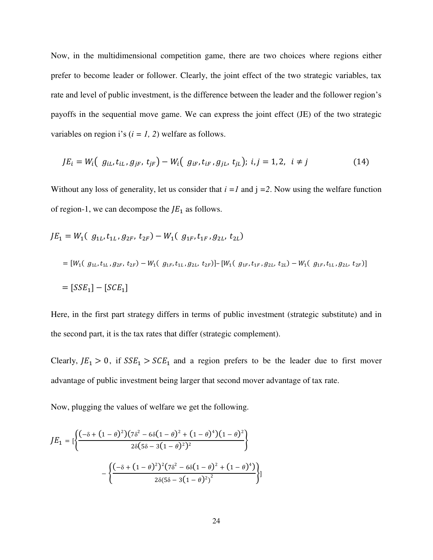Now, in the multidimensional competition game, there are two choices where regions either prefer to become leader or follower. Clearly, the joint effect of the two strategic variables, tax rate and level of public investment, is the difference between the leader and the follower region's payoffs in the sequential move game. We can express the joint effect (JE) of the two strategic variables on region i's  $(i = 1, 2)$  welfare as follows.

$$
JE_i = W_i \big( g_{iL}, t_{iL}, g_{jF}, t_{jF} \big) - W_i \big( g_{iF}, t_{iF}, g_{jL}, t_{jL} \big); i, j = 1, 2, i \neq j \tag{14}
$$

Without any loss of generality, let us consider that  $i = 1$  and  $j = 2$ . Now using the welfare function of region-1, we can decompose the  $JE<sub>1</sub>$  as follows.

$$
JE_1 = W_1 \left( g_{1L}, t_{1L}, g_{2F}, t_{2F} \right) - W_1 \left( g_{1F}, t_{1F}, g_{2L}, t_{2L} \right)
$$
  
\n
$$
= [W_1 \left( g_{1L}, t_{1L}, g_{2F}, t_{2F} \right) - W_1 \left( g_{1F}, t_{1L}, g_{2L}, t_{2F} \right)] - [W_1 \left( g_{1F}, t_{1F}, g_{2L}, t_{2L} \right) - W_1 \left( g_{1F}, t_{1L}, g_{2L}, t_{2F} \right)]
$$
  
\n
$$
= [SSE_1] - [SCE_1]
$$

Here, in the first part strategy differs in terms of public investment (strategic substitute) and in the second part, it is the tax rates that differ (strategic complement).

Clearly,  $JE_1 > 0$ , if  $SSE_1 > SCE_1$  and a region prefers to be the leader due to first mover advantage of public investment being larger that second mover advantage of tax rate.

Now, plugging the values of welfare we get the following.

$$
JE_1 = \left[ \frac{(-\delta + (1-\theta)^2)(7\delta^2 - 6\delta(1-\theta)^2 + (1-\theta)^4)(1-\theta)^2}{2\delta(5\delta - 3(1-\theta)^2)^2} \right] - \left\{ \frac{(-\delta + (1-\theta)^2)^2(7\delta^2 - 6\delta(1-\theta)^2 + (1-\theta)^4)}{2\delta(5\delta - 3(1-\theta)^2)^2} \right\}
$$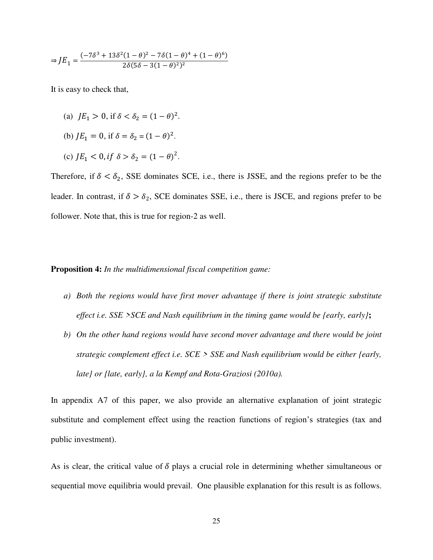$$
\Rightarrow J E_1 = \frac{(-7\delta^3 + 13\delta^2 (1 - \theta)^2 - 7\delta (1 - \theta)^4 + (1 - \theta)^6)}{2\delta (5\delta - 3(1 - \theta)^2)^2}
$$

It is easy to check that,

- (a)  $JE_1 > 0$ , if  $\delta < \delta_2 = (1 \theta)^2$ .
- (b)  $JE_1 = 0$ , if  $\delta = \delta_2 = (1 \theta)^2$ .
- (c)  $JE_1 < 0$ , if  $\delta > \delta_2 = (1 \theta)^2$ .

Therefore, if  $\delta < \delta_2$ , SSE dominates SCE, i.e., there is JSSE, and the regions prefer to be the leader. In contrast, if  $\delta > \delta_2$ , SCE dominates SSE, i.e., there is JSCE, and regions prefer to be follower. Note that, this is true for region-2 as well.

## **Proposition 4:** *In the multidimensional fiscal competition game:*

- *a) Both the regions would have first mover advantage if there is joint strategic substitute effect i.e. SSE >SCE and Nash equilibrium in the timing game would be {early, early}***;**
- *b) On the other hand regions would have second mover advantage and there would be joint strategic complement effect i.e. SCE > SSE and Nash equilibrium would be either {early, late} or {late, early}, a la Kempf and Rota-Graziosi (2010a).*

In appendix A7 of this paper, we also provide an alternative explanation of joint strategic substitute and complement effect using the reaction functions of region's strategies (tax and public investment).

As is clear, the critical value of  $\delta$  plays a crucial role in determining whether simultaneous or sequential move equilibria would prevail. One plausible explanation for this result is as follows.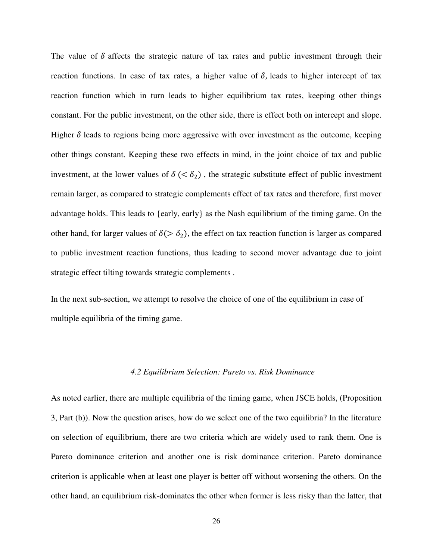The value of  $\delta$  affects the strategic nature of tax rates and public investment through their reaction functions. In case of tax rates, a higher value of  $\delta$ , leads to higher intercept of tax reaction function which in turn leads to higher equilibrium tax rates, keeping other things constant. For the public investment, on the other side, there is effect both on intercept and slope. Higher  $\delta$  leads to regions being more aggressive with over investment as the outcome, keeping other things constant. Keeping these two effects in mind, in the joint choice of tax and public investment, at the lower values of  $\delta$  (<  $\delta_2$ ), the strategic substitute effect of public investment remain larger, as compared to strategic complements effect of tax rates and therefore, first mover advantage holds. This leads to {early, early} as the Nash equilibrium of the timing game. On the other hand, for larger values of  $\delta$  ( $> \delta_2$ ), the effect on tax reaction function is larger as compared to public investment reaction functions, thus leading to second mover advantage due to joint strategic effect tilting towards strategic complements .

In the next sub-section, we attempt to resolve the choice of one of the equilibrium in case of multiple equilibria of the timing game.

#### *4.2 Equilibrium Selection: Pareto vs. Risk Dominance*

As noted earlier, there are multiple equilibria of the timing game, when JSCE holds, (Proposition 3, Part (b)). Now the question arises, how do we select one of the two equilibria? In the literature on selection of equilibrium, there are two criteria which are widely used to rank them. One is Pareto dominance criterion and another one is risk dominance criterion. Pareto dominance criterion is applicable when at least one player is better off without worsening the others. On the other hand, an equilibrium risk-dominates the other when former is less risky than the latter, that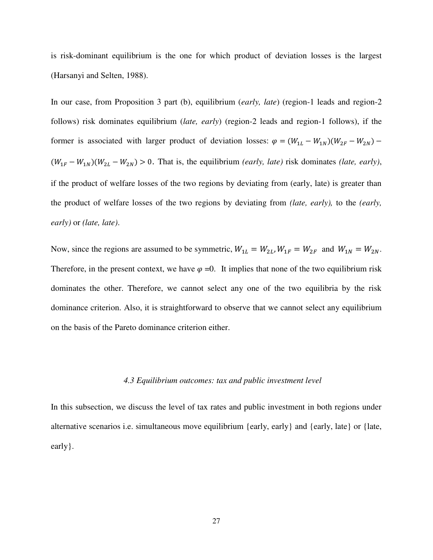is risk-dominant equilibrium is the one for which product of deviation losses is the largest (Harsanyi and Selten, 1988).

In our case, from Proposition 3 part (b), equilibrium (*early, late*) (region-1 leads and region-2 follows) risk dominates equilibrium (*late, early*) (region-2 leads and region-1 follows), if the former is associated with larger product of deviation losses:  $\varphi = (W_{1L} - W_{1N})(W_{2F} - W_{2N})$  $(W_{1F} - W_{1N})(W_{2L} - W_{2N}) > 0$ . That is, the equilibrium *(early, late)* risk dominates *(late, early)*, if the product of welfare losses of the two regions by deviating from (early, late) is greater than the product of welfare losses of the two regions by deviating from *(late, early),* to the *(early, early)* or *(late, late)*.

Now, since the regions are assumed to be symmetric,  $W_{1L} = W_{2L}$ ,  $W_{1F} = W_{2F}$  and  $W_{1N} = W_{2N}$ . Therefore, in the present context, we have  $\varphi =0$ . It implies that none of the two equilibrium risk dominates the other. Therefore, we cannot select any one of the two equilibria by the risk dominance criterion. Also, it is straightforward to observe that we cannot select any equilibrium on the basis of the Pareto dominance criterion either.

### *4.3 Equilibrium outcomes: tax and public investment level*

In this subsection, we discuss the level of tax rates and public investment in both regions under alternative scenarios i.e. simultaneous move equilibrium {early, early} and {early, late} or {late, early}.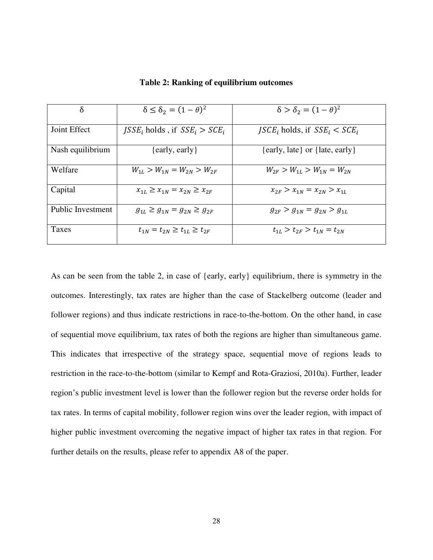| $\delta$          | $\delta \leq \delta_2 = (1-\theta)^2$             | $\delta > \delta_2 = (1 - \theta)^2$              |
|-------------------|---------------------------------------------------|---------------------------------------------------|
| Joint Effect      | <i>ISSE<sub>i</sub></i> holds, if $SSE_i > SCE_i$ | <i>JSCE<sub>i</sub></i> holds, if $SSE_i < SCE_i$ |
| Nash equilibrium  | $\{early, early\}$                                | {early, late} or {late, early}                    |
| Welfare           | $W_{1L} > W_{1N} = W_{2N} > W_{2F}$               | $W_{2F} > W_{1L} > W_{1N} = W_{2N}$               |
| Capital           | $x_{1L} \geq x_{1N} = x_{2N} \geq x_{2F}$         | $x_{2F} > x_{1N} = x_{2N} > x_{1L}$               |
| Public Investment | $g_{1L} \geq g_{1N} = g_{2N} \geq g_{2F}$         | $g_{2F} > g_{1N} = g_{2N} > g_{1L}$               |
| Taxes             | $t_{1N} = t_{2N} \ge t_{1L} \ge t_{2F}$           | $t_{1L} > t_{2F} > t_{1N} = t_{2N}$               |

**Table 2: Ranking of equilibrium outcomes**

As can be seen from the table 2, in case of {early, early} equilibrium, there is symmetry in the outcomes. Interestingly, tax rates are higher than the case of Stackelberg outcome (leader and follower regions) and thus indicate restrictions in race-to-the-bottom. On the other hand, in case of sequential move equilibrium, tax rates of both the regions are higher than simultaneous game. This indicates that irrespective of the strategy space, sequential move of regions leads to restriction in the race-to-the-bottom (similar to Kempf and Rota-Graziosi, 2010a). Further, leader region's public investment level is lower than the follower region but the reverse order holds for tax rates. In terms of capital mobility, follower region wins over the leader region, with impact of higher public investment overcoming the negative impact of higher tax rates in that region. For further details on the results, please refer to appendix A8 of the paper.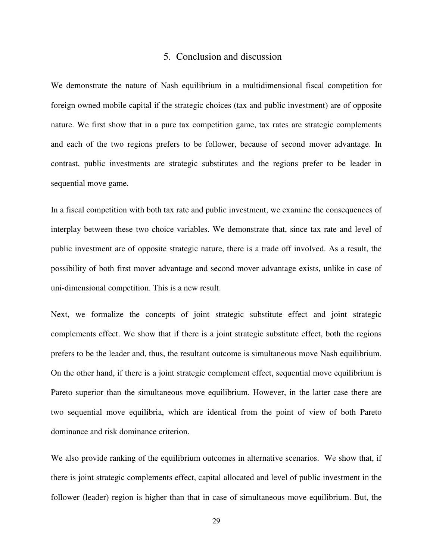## 5. Conclusion and discussion

We demonstrate the nature of Nash equilibrium in a multidimensional fiscal competition for foreign owned mobile capital if the strategic choices (tax and public investment) are of opposite nature. We first show that in a pure tax competition game, tax rates are strategic complements and each of the two regions prefers to be follower, because of second mover advantage. In contrast, public investments are strategic substitutes and the regions prefer to be leader in sequential move game.

In a fiscal competition with both tax rate and public investment, we examine the consequences of interplay between these two choice variables. We demonstrate that, since tax rate and level of public investment are of opposite strategic nature, there is a trade off involved. As a result, the possibility of both first mover advantage and second mover advantage exists, unlike in case of uni-dimensional competition. This is a new result.

Next, we formalize the concepts of joint strategic substitute effect and joint strategic complements effect. We show that if there is a joint strategic substitute effect, both the regions prefers to be the leader and, thus, the resultant outcome is simultaneous move Nash equilibrium. On the other hand, if there is a joint strategic complement effect, sequential move equilibrium is Pareto superior than the simultaneous move equilibrium. However, in the latter case there are two sequential move equilibria, which are identical from the point of view of both Pareto dominance and risk dominance criterion.

We also provide ranking of the equilibrium outcomes in alternative scenarios. We show that, if there is joint strategic complements effect, capital allocated and level of public investment in the follower (leader) region is higher than that in case of simultaneous move equilibrium. But, the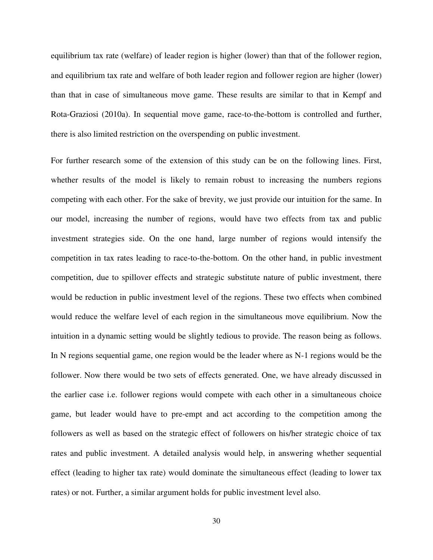equilibrium tax rate (welfare) of leader region is higher (lower) than that of the follower region, and equilibrium tax rate and welfare of both leader region and follower region are higher (lower) than that in case of simultaneous move game. These results are similar to that in Kempf and Rota-Graziosi (2010a). In sequential move game, race-to-the-bottom is controlled and further, there is also limited restriction on the overspending on public investment.

For further research some of the extension of this study can be on the following lines. First, whether results of the model is likely to remain robust to increasing the numbers regions competing with each other. For the sake of brevity, we just provide our intuition for the same. In our model, increasing the number of regions, would have two effects from tax and public investment strategies side. On the one hand, large number of regions would intensify the competition in tax rates leading to race-to-the-bottom. On the other hand, in public investment competition, due to spillover effects and strategic substitute nature of public investment, there would be reduction in public investment level of the regions. These two effects when combined would reduce the welfare level of each region in the simultaneous move equilibrium. Now the intuition in a dynamic setting would be slightly tedious to provide. The reason being as follows. In N regions sequential game, one region would be the leader where as N-1 regions would be the follower. Now there would be two sets of effects generated. One, we have already discussed in the earlier case i.e. follower regions would compete with each other in a simultaneous choice game, but leader would have to pre-empt and act according to the competition among the followers as well as based on the strategic effect of followers on his/her strategic choice of tax rates and public investment. A detailed analysis would help, in answering whether sequential effect (leading to higher tax rate) would dominate the simultaneous effect (leading to lower tax rates) or not. Further, a similar argument holds for public investment level also.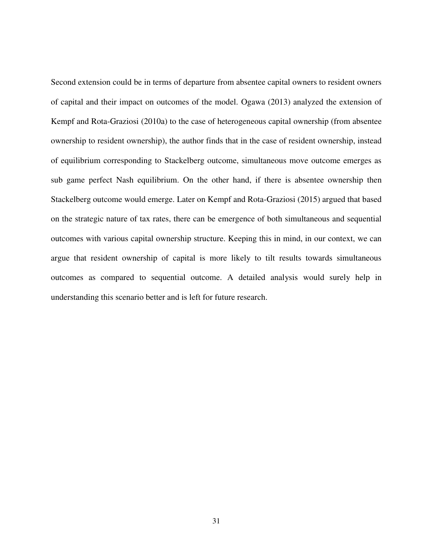Second extension could be in terms of departure from absentee capital owners to resident owners of capital and their impact on outcomes of the model. Ogawa (2013) analyzed the extension of Kempf and Rota-Graziosi (2010a) to the case of heterogeneous capital ownership (from absentee ownership to resident ownership), the author finds that in the case of resident ownership, instead of equilibrium corresponding to Stackelberg outcome, simultaneous move outcome emerges as sub game perfect Nash equilibrium. On the other hand, if there is absentee ownership then Stackelberg outcome would emerge. Later on Kempf and Rota-Graziosi (2015) argued that based on the strategic nature of tax rates, there can be emergence of both simultaneous and sequential outcomes with various capital ownership structure. Keeping this in mind, in our context, we can argue that resident ownership of capital is more likely to tilt results towards simultaneous outcomes as compared to sequential outcome. A detailed analysis would surely help in understanding this scenario better and is left for future research.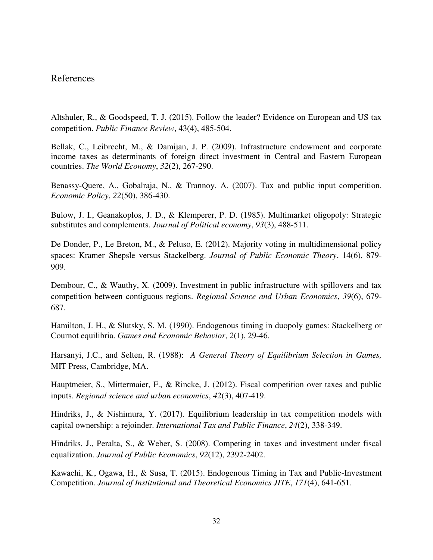## References

Altshuler, R., & Goodspeed, T. J. (2015). Follow the leader? Evidence on European and US tax competition. *Public Finance Review*, 43(4), 485-504.

Bellak, C., Leibrecht, M., & Damijan, J. P. (2009). Infrastructure endowment and corporate income taxes as determinants of foreign direct investment in Central and Eastern European countries. *The World Economy*, *32*(2), 267-290.

Benassy-Quere, A., Gobalraja, N., & Trannoy, A. (2007). Tax and public input competition. *Economic Policy*, *22*(50), 386-430.

Bulow, J. I., Geanakoplos, J. D., & Klemperer, P. D. (1985). Multimarket oligopoly: Strategic substitutes and complements. *Journal of Political economy*, *93*(3), 488-511.

De Donder, P., Le Breton, M., & Peluso, E. (2012). Majority voting in multidimensional policy spaces: Kramer–Shepsle versus Stackelberg. *Journal of Public Economic Theory*, 14(6), 879- 909.

Dembour, C., & Wauthy, X. (2009). Investment in public infrastructure with spillovers and tax competition between contiguous regions. *Regional Science and Urban Economics*, *39*(6), 679- 687.

Hamilton, J. H., & Slutsky, S. M. (1990). Endogenous timing in duopoly games: Stackelberg or Cournot equilibria. *Games and Economic Behavior*, *2*(1), 29-46.

Harsanyi, J.C., and Selten, R. (1988): *A General Theory of Equilibrium Selection in Games,*  MIT Press, Cambridge, MA.

Hauptmeier, S., Mittermaier, F., & Rincke, J. (2012). Fiscal competition over taxes and public inputs. *Regional science and urban economics*, *42*(3), 407-419.

Hindriks, J., & Nishimura, Y. (2017). Equilibrium leadership in tax competition models with capital ownership: a rejoinder. *International Tax and Public Finance*, *24*(2), 338-349.

Hindriks, J., Peralta, S., & Weber, S. (2008). Competing in taxes and investment under fiscal equalization. *Journal of Public Economics*, *92*(12), 2392-2402.

Kawachi, K., Ogawa, H., & Susa, T. (2015). Endogenous Timing in Tax and Public-Investment Competition. *Journal of Institutional and Theoretical Economics JITE*, *171*(4), 641-651.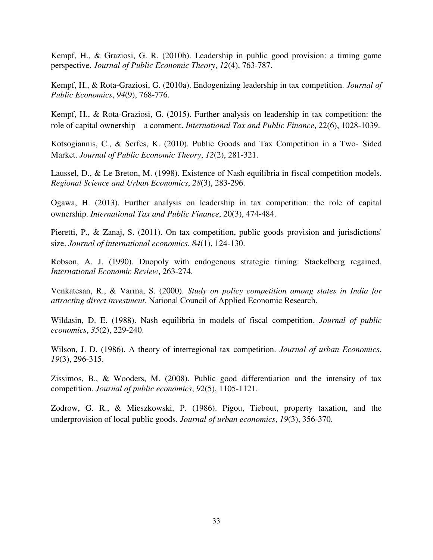Kempf, H., & Graziosi, G. R. (2010b). Leadership in public good provision: a timing game perspective. *Journal of Public Economic Theory*, *12*(4), 763-787.

Kempf, H., & Rota-Graziosi, G. (2010a). Endogenizing leadership in tax competition. *Journal of Public Economics*, *94*(9), 768-776.

Kempf, H., & Rota-Graziosi, G. (2015). Further analysis on leadership in tax competition: the role of capital ownership—a comment. *International Tax and Public Finance*, 22(6), 1028-1039.

Kotsogiannis, C., & Serfes, K. (2010). Public Goods and Tax Competition in a Two‐ Sided Market. *Journal of Public Economic Theory*, *12*(2), 281-321.

Laussel, D., & Le Breton, M. (1998). Existence of Nash equilibria in fiscal competition models. *Regional Science and Urban Economics*, *28*(3), 283-296.

Ogawa, H. (2013). Further analysis on leadership in tax competition: the role of capital ownership. *International Tax and Public Finance*, 20(3), 474-484.

Pieretti, P., & Zanaj, S. (2011). On tax competition, public goods provision and jurisdictions' size. *Journal of international economics*, *84*(1), 124-130.

Robson, A. J. (1990). Duopoly with endogenous strategic timing: Stackelberg regained. *International Economic Review*, 263-274.

Venkatesan, R., & Varma, S. (2000). *Study on policy competition among states in India for attracting direct investment*. National Council of Applied Economic Research.

Wildasin, D. E. (1988). Nash equilibria in models of fiscal competition. *Journal of public economics*, *35*(2), 229-240.

Wilson, J. D. (1986). A theory of interregional tax competition. *Journal of urban Economics*, *19*(3), 296-315.

Zissimos, B., & Wooders, M. (2008). Public good differentiation and the intensity of tax competition. *Journal of public economics*, *92*(5), 1105-1121.

Zodrow, G. R., & Mieszkowski, P. (1986). Pigou, Tiebout, property taxation, and the underprovision of local public goods. *Journal of urban economics*, *19*(3), 356-370.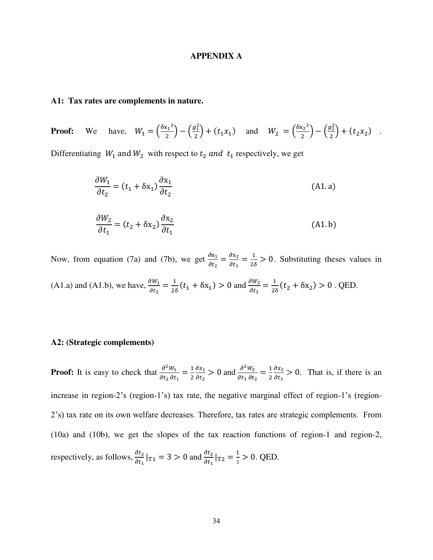#### **APPENDIX A**

### **A1: Tax rates are complements in nature.**

**Proof:** We have,  $W_1 = \left(\frac{\delta x_1^2}{2}\right)^2$  $\frac{x_1^2}{2} - \left(\frac{g_1^2}{2}\right)$  $\left(\frac{y_1^2}{2}\right) + (t_1 x_1)$  and  $W_2 = \left(\frac{\delta x_2^2}{2}\right)$  $\frac{x_2^2}{2} - \left(\frac{g_2^2}{2}\right)$  $\frac{f_2}{2}$  +  $(t_2x_2)$ .

Differentiating  $W_1$  and  $W_2$  with respect to  $t_2$  and  $t_1$  respectively, we get

$$
\frac{\partial W_1}{\partial t_2} = (t_1 + \delta x_1) \frac{\partial x_1}{\partial t_2}
$$
\n(A1.a)\n
$$
\frac{\partial W_2}{\partial t_1} = (t_2 + \delta x_2) \frac{\partial x_2}{\partial t_1}
$$
\n(A1.b)

Now, from equation (7a) and (7b), we get  $\frac{\partial x_1}{\partial t_2} = \frac{\partial}{\partial t_1}$  $\frac{\partial x_2}{\partial t_1} = \frac{1}{2\delta} > 0$ . Substituting theses values in

(A1.a) and (A1.b), we have,  $\frac{\partial W_1}{\partial t_2} = \frac{1}{28}$  $\frac{1}{2\delta}(t_1 + \delta x_1) > 0$  and  $\frac{\partial W_2}{\partial t_1} = \frac{1}{2\delta}$  $\frac{1}{2\delta}(t_2 + \delta x_2) > 0$ . QED.

#### **A2: (Strategic complements)**

**Proof:** It is easy to check that  $\frac{\partial^2}{\partial t}$  $\frac{\partial^2 W_1}{\partial t_2 \partial t_1} = \frac{1}{2}$  $\overline{\mathbf{z}}$  $\frac{d}{2}$  $\frac{\partial x_1}{\partial t_2}$  > 0 and  $\frac{\partial^2}{\partial t_1}$  $\frac{\partial^2 W_2}{\partial t_1 \partial t_2} = \frac{1}{2}$  $\overline{\mathbf{r}}$  $\frac{d}{2}$  $\frac{\partial x_2}{\partial t_1} > 0$ . That is, if there is an increase in region-2's (region-1's) tax rate, the negative marginal effect of region-1's (region-2's) tax rate on its own welfare decreases. Therefore, tax rates are strategic complements. From (10a) and (10b), we get the slopes of the tax reaction functions of region-1 and region-2, respectively, as follows,  $\frac{\partial t_2}{\partial t_1}|_{T_1} = 3 > 0$  and  $\frac{\partial t_2}{\partial t_1}|_{T_2} = \frac{1}{3}$  $\frac{1}{3}$  > 0. QED.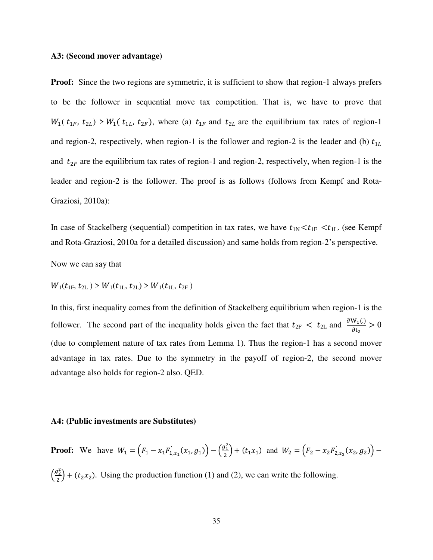#### **A3: (Second mover advantage)**

**Proof:** Since the two regions are symmetric, it is sufficient to show that region-1 always prefers to be the follower in sequential move tax competition. That is, we have to prove that  $W_1(t_{1F}, t_{2L}) > W_1(t_{1L}, t_{2F})$ , where (a)  $t_{1F}$  and  $t_{2L}$  are the equilibrium tax rates of region-1 and region-2, respectively, when region-1 is the follower and region-2 is the leader and (b)  $t_{1L}$ and  $t_{2F}$  are the equilibrium tax rates of region-1 and region-2, respectively, when region-1 is the leader and region-2 is the follower. The proof is as follows (follows from Kempf and Rota-Graziosi, 2010a):

In case of Stackelberg (sequential) competition in tax rates, we have  $t_{1N} < t_{1F} < t_{1L}$ . (see Kempf and Rota-Graziosi, 2010a for a detailed discussion) and same holds from region-2's perspective.

Now we can say that

 $W_1(t_{1F}, t_{2L}) > W_1(t_{1L}, t_{2L}) > W_1(t_{1L}, t_{2F})$ 

In this, first inequality comes from the definition of Stackelberg equilibrium when region-1 is the follower. The second part of the inequality holds given the fact that  $t_{2F} < t_{2L}$  and  $\frac{\partial W_1(.)}{\partial t_2}$ (due to complement nature of tax rates from Lemma 1). Thus the region-1 has a second mover advantage in tax rates. Due to the symmetry in the payoff of region-2, the second mover advantage also holds for region-2 also. QED.

#### **A4: (Public investments are Substitutes)**

**Proof:** We have  $W_1 = (F_1 - x_1 F'_{1,x_1}(x_1, g_1)) - (\frac{g_1^2}{2})$  $\left(\frac{y_1}{2}\right)$  +  $\left(t_1x_1\right)$  and  $W_2 = \left(F_2 - x_2F'_{2,x_2}(x_2,g_2)\right)$  $\left(\frac{g_2^2}{2}\right)$  $\left(\frac{y_2}{2}\right)$  + ( $t_2x_2$ ). Using the production function (1) and (2), we can write the following.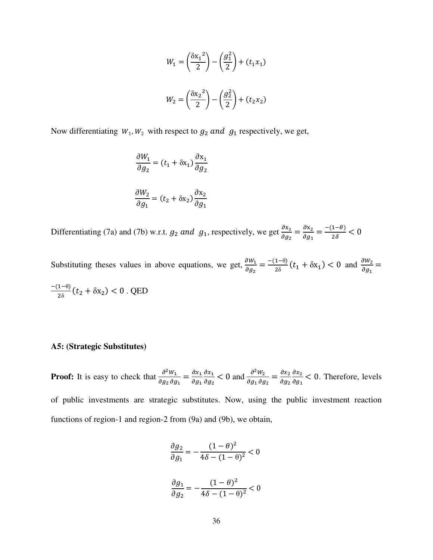$$
W_1 = \left(\frac{\delta x_1^2}{2}\right) - \left(\frac{g_1^2}{2}\right) + (t_1 x_1)
$$
  

$$
W_2 = \left(\frac{\delta x_2^2}{2}\right) - \left(\frac{g_2^2}{2}\right) + (t_2 x_2)
$$

Now differentiating  $W_1, W_2$  with respect to  $g_2$  and  $g_1$  respectively, we get,

$$
\frac{\partial W_1}{\partial g_2} = (t_1 + \delta x_1) \frac{\partial x_1}{\partial g_2}
$$

$$
\frac{\partial W_2}{\partial g_1} = (t_2 + \delta x_2) \frac{\partial x_2}{\partial g_1}
$$

Differentiating (7a) and (7b) w.r.t.  $g_2$  and  $g_1$ , respectively, we get  $\frac{\partial x_1}{\partial g_2} = \frac{\partial}{\partial g_1}$  $\frac{\partial x_2}{\partial g_1} = \frac{-1}{\sqrt{2\pi}}$  $\overline{\mathbf{c}}$ 

Substituting theses values in above equations, we get,  $\frac{\partial W_1}{\partial g_2} = \frac{\overline{a}}{a}$  $\frac{1-\theta}{2\delta}(t_1 + \delta x_1) < 0$  and  $\frac{\partial}{\partial}$  $\frac{1}{\partial g_1} =$  $\overline{a}$  $\frac{1-0}{2\delta}(t_2 + \delta x_2) < 0$ . QED

### **A5: (Strategic Substitutes)**

**Proof:** It is easy to check that  $\frac{\partial^2}{\partial x^2}$  $\frac{\partial^2 W_1}{\partial g_2 \, \partial g_1} = \frac{\partial}{\partial g_2}$  $\boldsymbol{\theta}$  $\boldsymbol{\theta}$  $\frac{\partial x_1}{\partial g_2}$  < 0 and  $\frac{\partial^2}{\partial g_1}$  $\frac{\partial^2 W_2}{\partial g_1 \partial g_2} = \frac{\partial}{\partial g}$  $\boldsymbol{\theta}$  $\boldsymbol{\theta}$  $\frac{\partial x_2}{\partial g_1}$  < 0. Therefore, levels of public investments are strategic substitutes. Now, using the public investment reaction functions of region-1 and region-2 from (9a) and (9b), we obtain,

$$
\frac{\partial g_2}{\partial g_1} = -\frac{(1-\theta)^2}{4\delta - (1-\theta)^2} < 0
$$

$$
\frac{\partial g_1}{\partial g_2} = -\frac{(1-\theta)^2}{4\delta - (1-\theta)^2} < 0
$$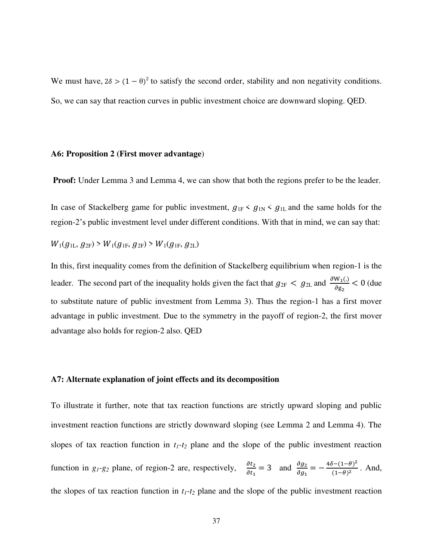We must have,  $2\delta > (1 - \theta)^2$  to satisfy the second order, stability and non negativity conditions. So, we can say that reaction curves in public investment choice are downward sloping. QED.

### **A6: Proposition 2 (First mover advantage**)

**Proof:** Under Lemma 3 and Lemma 4, we can show that both the regions prefer to be the leader.

In case of Stackelberg game for public investment,  $g_{1F} < g_{1N} < g_{1L}$  and the same holds for the region-2's public investment level under different conditions. With that in mind, we can say that:

 $W_1(q_{11}, q_{2F}) > W_1(q_{1F}, q_{2F}) > W_1(q_{1F}, q_{2L})$ 

In this, first inequality comes from the definition of Stackelberg equilibrium when region-1 is the leader. The second part of the inequality holds given the fact that  $g_{2F} < g_{2L}$  and  $\frac{\partial W_1(.)}{\partial g_2} < 0$  (due to substitute nature of public investment from Lemma 3). Thus the region-1 has a first mover advantage in public investment. Due to the symmetry in the payoff of region-2, the first mover advantage also holds for region-2 also. QED

## **A7: Alternate explanation of joint effects and its decomposition**

To illustrate it further, note that tax reaction functions are strictly upward sloping and public investment reaction functions are strictly downward sloping (see Lemma 2 and Lemma 4). The slopes of tax reaction function in  $t_1$ - $t_2$  plane and the slope of the public investment reaction function in  $g_1$ - $g_2$  plane, of region-2 are, respectively,  $\frac{\partial t_2}{\partial t_1} = 3$  and  $\frac{\partial g_2}{\partial g_1} = -\frac{4}{3}$  $\frac{\sqrt{-(1-\theta)}}{(1-\theta)^2}$ . And, the slopes of tax reaction function in  $t_1$ - $t_2$  plane and the slope of the public investment reaction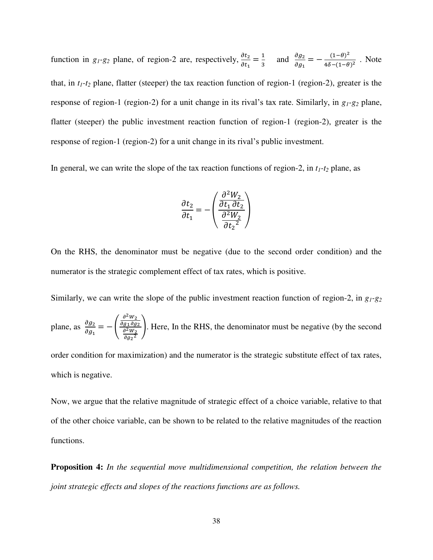function in  $g_1$ - $g_2$  plane, of region-2 are, respectively,  $\frac{\partial t_2}{\partial t_1} = \frac{1}{3}$  $rac{1}{3}$  and  $rac{\theta}{\theta}$  $\frac{\partial g_2}{\partial g_1} = -\frac{0}{4\delta}$  $\frac{(1-\theta)}{4\delta-(1-\theta)^2}$ . Note that, in  $t_1$ - $t_2$  plane, flatter (steeper) the tax reaction function of region-1 (region-2), greater is the response of region-1 (region-2) for a unit change in its rival's tax rate. Similarly, in *g1-g2* plane, flatter (steeper) the public investment reaction function of region-1 (region-2), greater is the response of region-1 (region-2) for a unit change in its rival's public investment.

In general, we can write the slope of the tax reaction functions of region-2, in  $t_1$ - $t_2$  plane, as

$$
\frac{\partial t_2}{\partial t_1} = -\left(\frac{\frac{\partial^2 W_2}{\partial t_1 \partial t_2}}{\frac{\partial^2 W_2}{\partial t_2^2}}\right)
$$

On the RHS, the denominator must be negative (due to the second order condition) and the numerator is the strategic complement effect of tax rates, which is positive.

Similarly, we can write the slope of the public investment reaction function of region-2, in *g1-g<sup>2</sup>*

plane, as 
$$
\frac{\partial g_2}{\partial g_1} = -\left(\frac{\frac{\partial^2 W_2}{\partial g_1 \partial g_2}}{\frac{\partial^2 W_2}{\partial g_2^2}}\right)
$$
. Here, In the RHS, the denominator must be negative (by the second

order condition for maximization) and the numerator is the strategic substitute effect of tax rates, which is negative.

Now, we argue that the relative magnitude of strategic effect of a choice variable, relative to that of the other choice variable, can be shown to be related to the relative magnitudes of the reaction functions.

**Proposition 4:** *In the sequential move multidimensional competition, the relation between the joint strategic effects and slopes of the reactions functions are as follows.*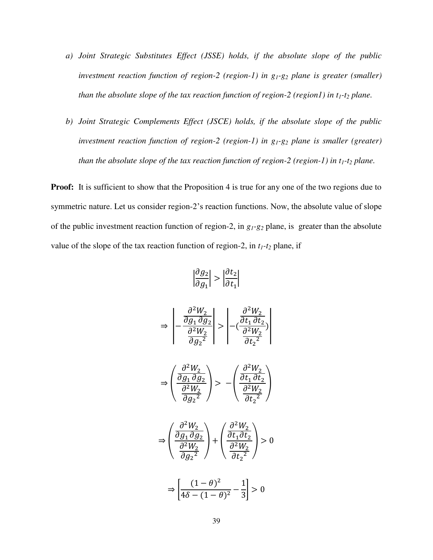- *a) Joint Strategic Substitutes Effect (JSSE) holds, if the absolute slope of the public investment reaction function of region-2 (region-1) in g1-g2 plane is greater (smaller) than the absolute slope of the tax reaction function of region-2 (region1) in*  $t_1$ *-* $t_2$  *plane.*
- *b) Joint Strategic Complements Effect (JSCE) holds, if the absolute slope of the public investment reaction function of region-2 (region-1) in g1-g2 plane is smaller (greater) than the absolute slope of the tax reaction function of region-2 (region-1) in*  $t_1$ *-* $t_2$  *plane.*

**Proof:** It is sufficient to show that the Proposition 4 is true for any one of the two regions due to symmetric nature. Let us consider region-2's reaction functions. Now, the absolute value of slope of the public investment reaction function of region-2, in *g1-g<sup>2</sup>* plane, is greater than the absolute value of the slope of the tax reaction function of region-2, in  $t_1$ - $t_2$  plane, if

$$
\left|\frac{\partial g_2}{\partial g_1}\right| > \left|\frac{\partial t_2}{\partial t_1}\right|
$$

$$
\Rightarrow \left| -\frac{\frac{\partial^2 W_2}{\partial g_1 \partial g_2}}{\frac{\partial^2 W_2}{\partial g_2^2}} \right| > \left| -\left( \frac{\frac{\partial^2 W_2}{\partial t_1 \partial t_2}}{\frac{\partial^2 W_2}{\partial t_2^2}} \right) \right|
$$
  

$$
\Rightarrow \left( \frac{\frac{\partial^2 W_2}{\partial g_1 \partial g_2}}{\frac{\partial^2 W_2}{\partial t_2^2}} \right) > -\left( \frac{\frac{\partial^2 W_2}{\partial t_1 \partial t_2}}{\frac{\partial^2 W_2}{\partial t_2^2}} \right)
$$

$$
\Rightarrow \left(\frac{\frac{\partial^2 W_2}{\partial g_1\,\partial g_2}}{\frac{\partial^2 W_2}{\partial^2 W_2}}\right) + \left(\frac{\frac{\partial^2 W_2}{\partial t_1\partial t_2}}{\frac{\partial^2 W_2}{\partial^2 W_2}}\right) > 0
$$

 $\partial t_2^2$ 

 $\partial t_2^2$ 

 $\partial g_2^2$ 

 $\partial g_2^2$ 

$$
\Rightarrow \left[\frac{(1-\theta)^2}{4\delta - (1-\theta)^2} - \frac{1}{3}\right] > 0
$$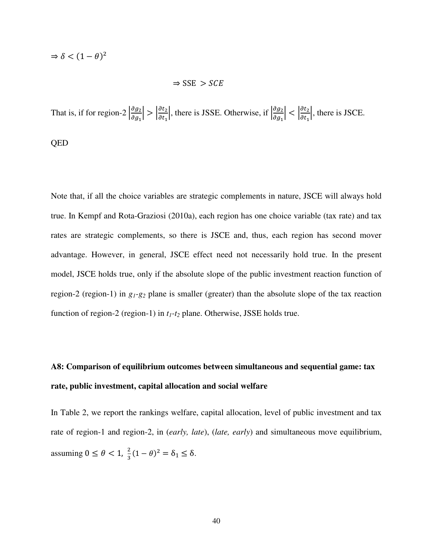$\Rightarrow \delta < (1-\theta)^2$ 

$$
\Rightarrow \text{SSE} > \text{SCE}
$$

That is, if for region-2  $\left|\frac{\partial g_2}{\partial g_1}\right| > \left|\frac{\partial t_2}{\partial t_1}\right|$ , there is JSSE. Otherwise, if  $\left|\frac{\partial g_1}{\partial g_1}\right|$  $\left|\frac{\partial g_2}{\partial g_1}\right| < \left|\frac{\partial c_2}{\partial t_1}\right|$ , there is JSCE.

QED

Note that, if all the choice variables are strategic complements in nature, JSCE will always hold true. In Kempf and Rota-Graziosi (2010a), each region has one choice variable (tax rate) and tax rates are strategic complements, so there is JSCE and, thus, each region has second mover advantage. However, in general, JSCE effect need not necessarily hold true. In the present model, JSCE holds true, only if the absolute slope of the public investment reaction function of region-2 (region-1) in *g1-g<sup>2</sup>* plane is smaller (greater) than the absolute slope of the tax reaction function of region-2 (region-1) in *t1-t<sup>2</sup>* plane. Otherwise, JSSE holds true.

## **A8: Comparison of equilibrium outcomes between simultaneous and sequential game: tax rate, public investment, capital allocation and social welfare**

In Table 2, we report the rankings welfare, capital allocation, level of public investment and tax rate of region-1 and region-2, in (*early, late*), (*late, early*) and simultaneous move equilibrium, assuming  $0 \le \theta < 1$ ,  $\frac{2}{3}$  $\frac{2}{3}(1-\theta)^2 = \delta_1 \leq \delta.$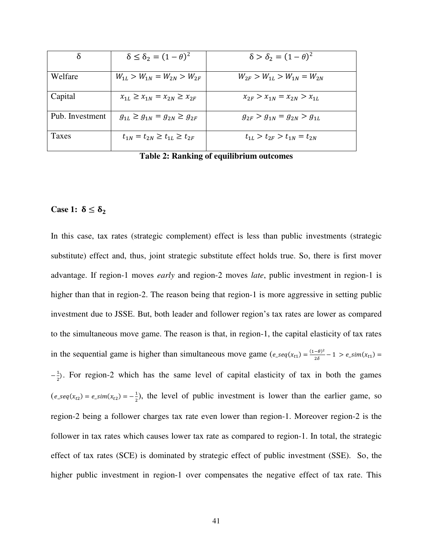|                 | $\delta \leq \delta_2 = (1-\theta)^2$     | $\delta > \delta_2 = (1-\theta)^2$  |
|-----------------|-------------------------------------------|-------------------------------------|
|                 |                                           |                                     |
| Welfare         | $W_{1L} > W_{1N} = W_{2N} > W_{2F}$       | $W_{2F} > W_{1L} > W_{1N} = W_{2N}$ |
| Capital         | $x_{1L} \geq x_{1N} = x_{2N} \geq x_{2F}$ | $x_{2F} > x_{1N} = x_{2N} > x_{1L}$ |
| Pub. Investment | $g_{1L} \geq g_{1N} = g_{2N} \geq g_{2F}$ | $g_{2F} > g_{1N} = g_{2N} > g_{1L}$ |
| Taxes           | $t_{1N} = t_{2N} \geq t_{1L} \geq t_{2F}$ | $t_{1I} > t_{2F} > t_{1N} = t_{2N}$ |

**Table 2: Ranking of equilibrium outcomes**

## Case 1:  $\delta \leq \delta_2$

In this case, tax rates (strategic complement) effect is less than public investments (strategic substitute) effect and, thus, joint strategic substitute effect holds true. So, there is first mover advantage. If region-1 moves *early* and region-2 moves *late*, public investment in region-1 is higher than that in region-2. The reason being that region-1 is more aggressive in setting public investment due to JSSE. But, both leader and follower region's tax rates are lower as compared to the simultaneous move game. The reason is that, in region-1, the capital elasticity of tax rates in the sequential game is higher than simultaneous move game  $(e_s e_i(x_{t_1}) = \frac{(1-\theta)^2}{2\delta})$  $\overline{\mathbf{c}}$  $-\frac{1}{2}$  $\frac{1}{2}$ . For region-2 which has the same level of capital elasticity of tax in both the games  $(e\_seq(x_{t2}) = e\_sim(x_{t2}) = -\frac{1}{2})$  $\frac{1}{2}$ ), the level of public investment is lower than the earlier game, so region-2 being a follower charges tax rate even lower than region-1. Moreover region-2 is the follower in tax rates which causes lower tax rate as compared to region-1. In total, the strategic effect of tax rates (SCE) is dominated by strategic effect of public investment (SSE). So, the higher public investment in region-1 over compensates the negative effect of tax rate. This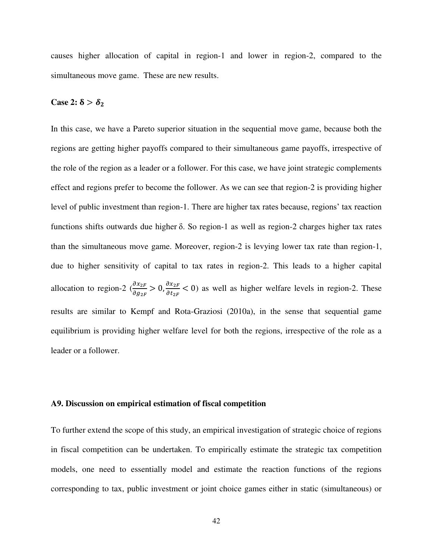causes higher allocation of capital in region-1 and lower in region-2, compared to the simultaneous move game. These are new results.

## Case 2:  $\delta > \delta_2$

In this case, we have a Pareto superior situation in the sequential move game, because both the regions are getting higher payoffs compared to their simultaneous game payoffs, irrespective of the role of the region as a leader or a follower. For this case, we have joint strategic complements effect and regions prefer to become the follower. As we can see that region-2 is providing higher level of public investment than region-1. There are higher tax rates because, regions' tax reaction functions shifts outwards due higher  $\delta$ . So region-1 as well as region-2 charges higher tax rates than the simultaneous move game. Moreover, region-2 is levying lower tax rate than region-1, due to higher sensitivity of capital to tax rates in region-2. This leads to a higher capital allocation to region-2  $\left(\frac{\partial x_{2F}}{\partial g_{2F}} > 0, \frac{\partial x_{2F}}{\partial t_{2F}} < 0\right)$  as well as higher welfare levels in region-2. These results are similar to Kempf and Rota-Graziosi (2010a), in the sense that sequential game equilibrium is providing higher welfare level for both the regions, irrespective of the role as a leader or a follower.

## **A9. Discussion on empirical estimation of fiscal competition**

To further extend the scope of this study, an empirical investigation of strategic choice of regions in fiscal competition can be undertaken. To empirically estimate the strategic tax competition models, one need to essentially model and estimate the reaction functions of the regions corresponding to tax, public investment or joint choice games either in static (simultaneous) or